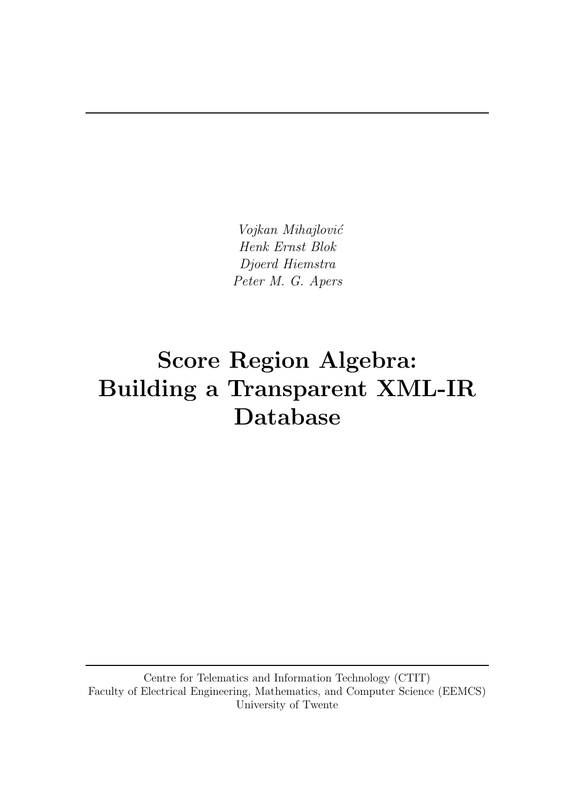Vojkan Mihajlović Henk Ernst Blok Djoerd Hiemstra Peter M. G. Apers

# Score Region Algebra: Building a Transparent XML-IR Database

Centre for Telematics and Information Technology (CTIT) Faculty of Electrical Engineering, Mathematics, and Computer Science (EEMCS) University of Twente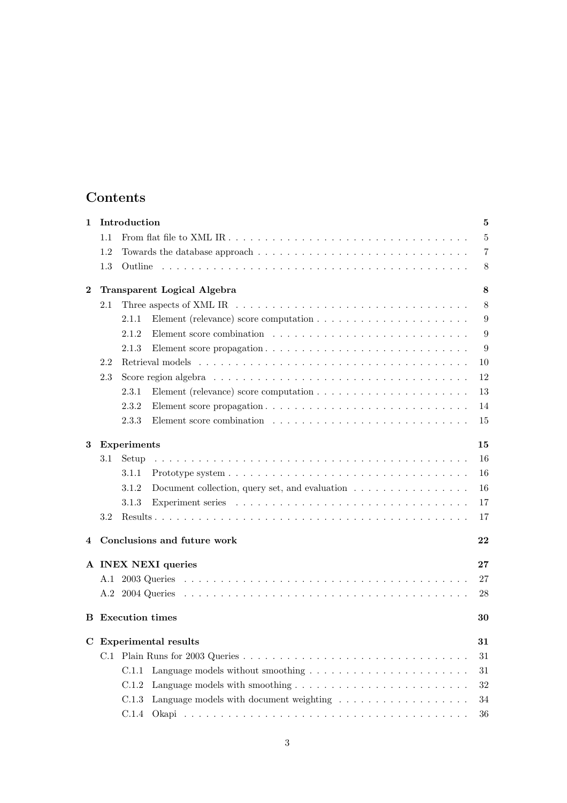## Contents

| 1        |     | Introduction                                                                                            | $\bf{5}$ |
|----------|-----|---------------------------------------------------------------------------------------------------------|----------|
|          | 1.1 |                                                                                                         | $\bf 5$  |
|          | 1.2 |                                                                                                         | 7        |
|          | 1.3 | Outline                                                                                                 | 8        |
| $\bf{2}$ |     | <b>Transparent Logical Algebra</b>                                                                      | 8        |
|          | 2.1 | Three aspects of XML IR $\dots \dots \dots \dots \dots \dots \dots \dots \dots \dots \dots \dots \dots$ | 8        |
|          |     | 2.1.1                                                                                                   | 9        |
|          |     | 2.1.2                                                                                                   | 9        |
|          |     | 2.1.3                                                                                                   | 9        |
|          | 2.2 |                                                                                                         | 10       |
|          | 2.3 |                                                                                                         | 12       |
|          |     | 2.3.1                                                                                                   | 13       |
|          |     | 2.3.2                                                                                                   | 14       |
|          |     | 2.3.3                                                                                                   | 15       |
| 3        |     | <b>Experiments</b>                                                                                      | 15       |
|          | 3.1 | Setup                                                                                                   | 16       |
|          |     | 3.1.1                                                                                                   | 16       |
|          |     | Document collection, query set, and evaluation $\ldots \ldots \ldots \ldots \ldots$<br>3.1.2            | 16       |
|          |     | 3.1.3                                                                                                   | 17       |
|          | 3.2 |                                                                                                         | 17       |
| 4        |     | Conclusions and future work                                                                             | 22       |
|          |     | A INEX NEXI queries                                                                                     | 27       |
|          | A.1 |                                                                                                         | 27       |
|          | A.2 |                                                                                                         | 28       |
|          |     | <b>B</b> Execution times                                                                                | 30       |
|          |     | C Experimental results                                                                                  | 31       |
|          | C.1 |                                                                                                         | 31       |
|          |     | C.1.1                                                                                                   | 31       |
|          |     | C.1.2                                                                                                   | 32       |
|          |     | Language models with document weighting $\dots \dots \dots \dots \dots \dots$<br>C.1.3                  | 34       |
|          |     | C.1.4                                                                                                   | 36       |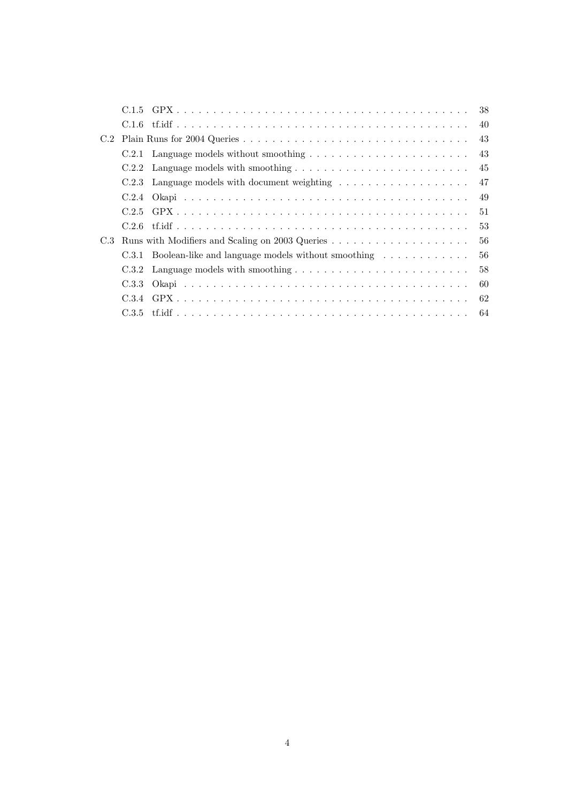|     |       |                                                          | 38  |
|-----|-------|----------------------------------------------------------|-----|
|     |       |                                                          | 40  |
| C.2 |       |                                                          | 43  |
|     |       |                                                          | 43  |
|     |       |                                                          | 45  |
|     |       | C.2.3 Language models with document weighting            | 47  |
|     |       |                                                          | 49  |
|     |       |                                                          | 51  |
|     | C.2.6 |                                                          | 53  |
| C.3 |       |                                                          | 56  |
|     |       | C.3.1 Boolean-like and language models without smoothing | 56  |
|     |       |                                                          | 58  |
|     |       |                                                          | 60  |
|     |       |                                                          | 62  |
|     |       |                                                          | -64 |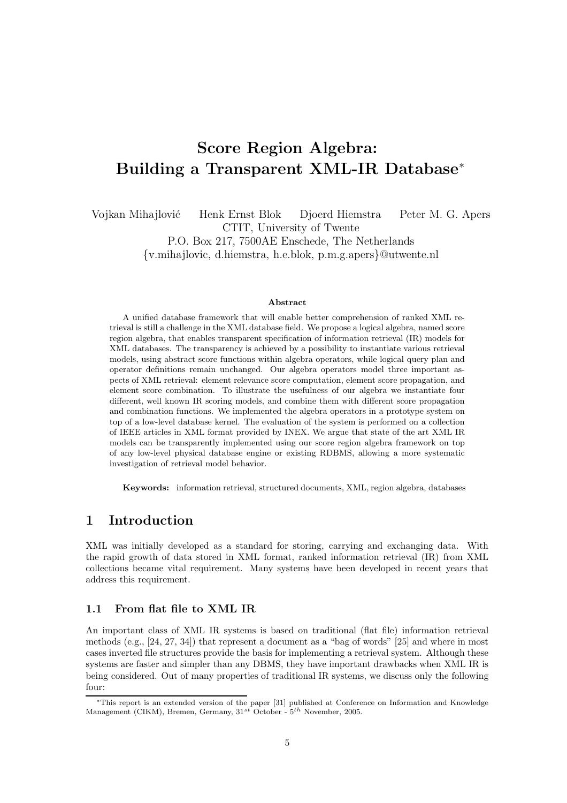# Score Region Algebra: Building a Transparent XML-IR Database<sup>∗</sup>

Vojkan Mihajlović Henk Ernst Blok Djoerd Hiemstra Peter M. G. Apers

CTIT, University of Twente

P.O. Box 217, 7500AE Enschede, The Netherlands

{v.mihajlovic, d.hiemstra, h.e.blok, p.m.g.apers}@utwente.nl

#### Abstract

A unified database framework that will enable better comprehension of ranked XML retrieval is still a challenge in the XML database field. We propose a logical algebra, named score region algebra, that enables transparent specification of information retrieval (IR) models for XML databases. The transparency is achieved by a possibility to instantiate various retrieval models, using abstract score functions within algebra operators, while logical query plan and operator definitions remain unchanged. Our algebra operators model three important aspects of XML retrieval: element relevance score computation, element score propagation, and element score combination. To illustrate the usefulness of our algebra we instantiate four different, well known IR scoring models, and combine them with different score propagation and combination functions. We implemented the algebra operators in a prototype system on top of a low-level database kernel. The evaluation of the system is performed on a collection of IEEE articles in XML format provided by INEX. We argue that state of the art XML IR models can be transparently implemented using our score region algebra framework on top of any low-level physical database engine or existing RDBMS, allowing a more systematic investigation of retrieval model behavior.

Keywords: information retrieval, structured documents, XML, region algebra, databases

### 1 Introduction

XML was initially developed as a standard for storing, carrying and exchanging data. With the rapid growth of data stored in XML format, ranked information retrieval (IR) from XML collections became vital requirement. Many systems have been developed in recent years that address this requirement.

### 1.1 From flat file to XML IR

An important class of XML IR systems is based on traditional (flat file) information retrieval methods (e.g., [24, 27, 34]) that represent a document as a "bag of words" [25] and where in most cases inverted file structures provide the basis for implementing a retrieval system. Although these systems are faster and simpler than any DBMS, they have important drawbacks when XML IR is being considered. Out of many properties of traditional IR systems, we discuss only the following four:

<sup>∗</sup>This report is an extended version of the paper [31] published at Conference on Information and Knowledge Management (CIKM), Bremen, Germany,  $31^{st}$  October -  $5^{th}$  November, 2005.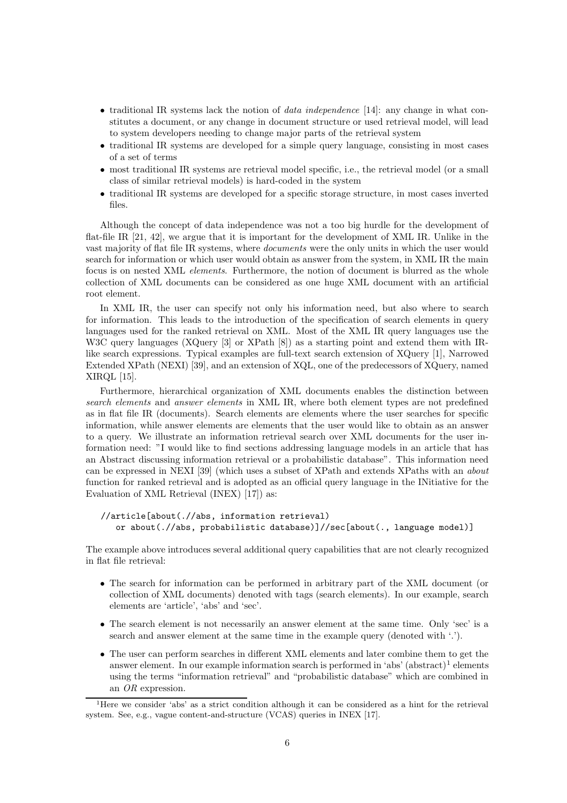- traditional IR systems lack the notion of *data independence* [14]: any change in what constitutes a document, or any change in document structure or used retrieval model, will lead to system developers needing to change major parts of the retrieval system
- traditional IR systems are developed for a simple query language, consisting in most cases of a set of terms
- most traditional IR systems are retrieval model specific, i.e., the retrieval model (or a small class of similar retrieval models) is hard-coded in the system
- traditional IR systems are developed for a specific storage structure, in most cases inverted files.

Although the concept of data independence was not a too big hurdle for the development of flat-file IR [21, 42], we argue that it is important for the development of XML IR. Unlike in the vast majority of flat file IR systems, where documents were the only units in which the user would search for information or which user would obtain as answer from the system, in XML IR the main focus is on nested XML elements. Furthermore, the notion of document is blurred as the whole collection of XML documents can be considered as one huge XML document with an artificial root element.

In XML IR, the user can specify not only his information need, but also where to search for information. This leads to the introduction of the specification of search elements in query languages used for the ranked retrieval on XML. Most of the XML IR query languages use the W3C query languages (XQuery [3] or XPath [8]) as a starting point and extend them with IRlike search expressions. Typical examples are full-text search extension of XQuery [1], Narrowed Extended XPath (NEXI) [39], and an extension of XQL, one of the predecessors of XQuery, named XIRQL [15].

Furthermore, hierarchical organization of XML documents enables the distinction between search elements and answer elements in XML IR, where both element types are not predefined as in flat file IR (documents). Search elements are elements where the user searches for specific information, while answer elements are elements that the user would like to obtain as an answer to a query. We illustrate an information retrieval search over XML documents for the user information need: "I would like to find sections addressing language models in an article that has an Abstract discussing information retrieval or a probabilistic database". This information need can be expressed in NEXI [39] (which uses a subset of XPath and extends XPaths with an about function for ranked retrieval and is adopted as an official query language in the INitiative for the Evaluation of XML Retrieval (INEX) [17]) as:

```
//article[about(.//abs, information retrieval)
   or about(.//abs, probabilistic database)]//sec[about(., language model)]
```
The example above introduces several additional query capabilities that are not clearly recognized in flat file retrieval:

- The search for information can be performed in arbitrary part of the XML document (or collection of XML documents) denoted with tags (search elements). In our example, search elements are 'article', 'abs' and 'sec'.
- The search element is not necessarily an answer element at the same time. Only 'sec' is a search and answer element at the same time in the example query (denoted with  $\cdot$ ).
- The user can perform searches in different XML elements and later combine them to get the answer element. In our example information search is performed in 'abs'  $(abstract)^{1}$  elements using the terms "information retrieval" and "probabilistic database" which are combined in an OR expression.

<sup>1</sup>Here we consider 'abs' as a strict condition although it can be considered as a hint for the retrieval system. See, e.g., vague content-and-structure (VCAS) queries in INEX [17].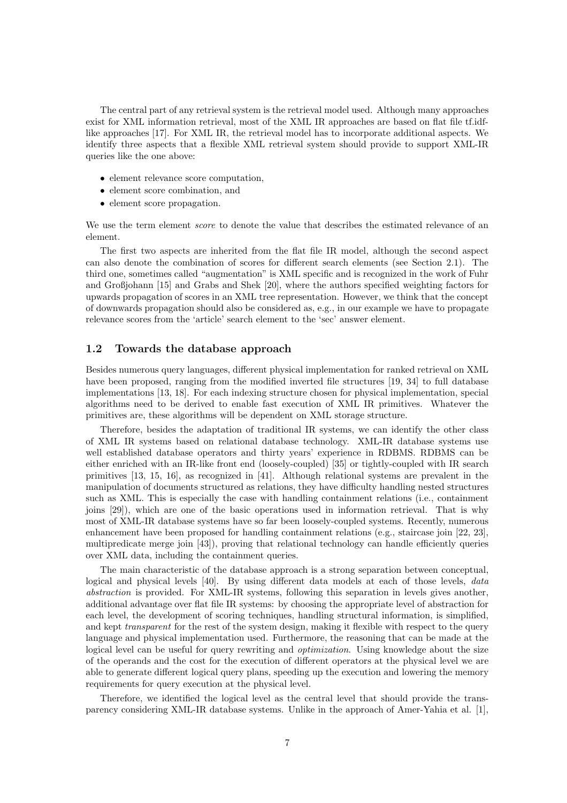The central part of any retrieval system is the retrieval model used. Although many approaches exist for XML information retrieval, most of the XML IR approaches are based on flat file tf.idflike approaches [17]. For XML IR, the retrieval model has to incorporate additional aspects. We identify three aspects that a flexible XML retrieval system should provide to support XML-IR queries like the one above:

- element relevance score computation,
- element score combination, and
- element score propagation.

We use the term element *score* to denote the value that describes the estimated relevance of an element.

The first two aspects are inherited from the flat file IR model, although the second aspect can also denote the combination of scores for different search elements (see Section 2.1). The third one, sometimes called "augmentation" is XML specific and is recognized in the work of Fuhr and Großjohann [15] and Grabs and Shek [20], where the authors specified weighting factors for upwards propagation of scores in an XML tree representation. However, we think that the concept of downwards propagation should also be considered as, e.g., in our example we have to propagate relevance scores from the 'article' search element to the 'sec' answer element.

### 1.2 Towards the database approach

Besides numerous query languages, different physical implementation for ranked retrieval on XML have been proposed, ranging from the modified inverted file structures [19, 34] to full database implementations [13, 18]. For each indexing structure chosen for physical implementation, special algorithms need to be derived to enable fast execution of XML IR primitives. Whatever the primitives are, these algorithms will be dependent on XML storage structure.

Therefore, besides the adaptation of traditional IR systems, we can identify the other class of XML IR systems based on relational database technology. XML-IR database systems use well established database operators and thirty years' experience in RDBMS. RDBMS can be either enriched with an IR-like front end (loosely-coupled) [35] or tightly-coupled with IR search primitives [13, 15, 16], as recognized in [41]. Although relational systems are prevalent in the manipulation of documents structured as relations, they have difficulty handling nested structures such as XML. This is especially the case with handling containment relations (i.e., containment joins [29]), which are one of the basic operations used in information retrieval. That is why most of XML-IR database systems have so far been loosely-coupled systems. Recently, numerous enhancement have been proposed for handling containment relations (e.g., staircase join [22, 23], multipredicate merge join [43]), proving that relational technology can handle efficiently queries over XML data, including the containment queries.

The main characteristic of the database approach is a strong separation between conceptual, logical and physical levels [40]. By using different data models at each of those levels, data abstraction is provided. For XML-IR systems, following this separation in levels gives another, additional advantage over flat file IR systems: by choosing the appropriate level of abstraction for each level, the development of scoring techniques, handling structural information, is simplified, and kept *transparent* for the rest of the system design, making it flexible with respect to the query language and physical implementation used. Furthermore, the reasoning that can be made at the logical level can be useful for query rewriting and *optimization*. Using knowledge about the size of the operands and the cost for the execution of different operators at the physical level we are able to generate different logical query plans, speeding up the execution and lowering the memory requirements for query execution at the physical level.

Therefore, we identified the logical level as the central level that should provide the transparency considering XML-IR database systems. Unlike in the approach of Amer-Yahia et al. [1],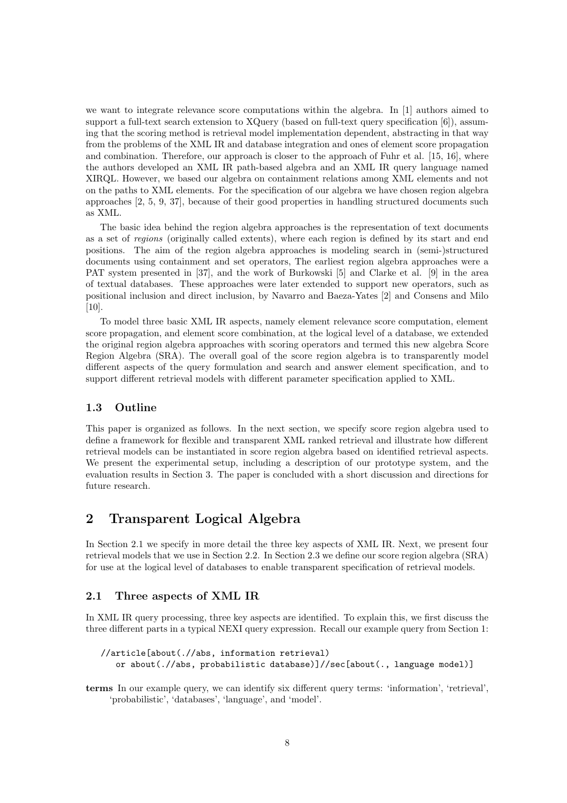we want to integrate relevance score computations within the algebra. In [1] authors aimed to support a full-text search extension to XQuery (based on full-text query specification [6]), assuming that the scoring method is retrieval model implementation dependent, abstracting in that way from the problems of the XML IR and database integration and ones of element score propagation and combination. Therefore, our approach is closer to the approach of Fuhr et al. [15, 16], where the authors developed an XML IR path-based algebra and an XML IR query language named XIRQL. However, we based our algebra on containment relations among XML elements and not on the paths to XML elements. For the specification of our algebra we have chosen region algebra approaches [2, 5, 9, 37], because of their good properties in handling structured documents such as XML.

The basic idea behind the region algebra approaches is the representation of text documents as a set of regions (originally called extents), where each region is defined by its start and end positions. The aim of the region algebra approaches is modeling search in (semi-)structured documents using containment and set operators, The earliest region algebra approaches were a PAT system presented in [37], and the work of Burkowski [5] and Clarke et al. [9] in the area of textual databases. These approaches were later extended to support new operators, such as positional inclusion and direct inclusion, by Navarro and Baeza-Yates [2] and Consens and Milo [10].

To model three basic XML IR aspects, namely element relevance score computation, element score propagation, and element score combination, at the logical level of a database, we extended the original region algebra approaches with scoring operators and termed this new algebra Score Region Algebra (SRA). The overall goal of the score region algebra is to transparently model different aspects of the query formulation and search and answer element specification, and to support different retrieval models with different parameter specification applied to XML.

### 1.3 Outline

This paper is organized as follows. In the next section, we specify score region algebra used to define a framework for flexible and transparent XML ranked retrieval and illustrate how different retrieval models can be instantiated in score region algebra based on identified retrieval aspects. We present the experimental setup, including a description of our prototype system, and the evaluation results in Section 3. The paper is concluded with a short discussion and directions for future research.

### 2 Transparent Logical Algebra

In Section 2.1 we specify in more detail the three key aspects of XML IR. Next, we present four retrieval models that we use in Section 2.2. In Section 2.3 we define our score region algebra (SRA) for use at the logical level of databases to enable transparent specification of retrieval models.

### 2.1 Three aspects of XML IR

In XML IR query processing, three key aspects are identified. To explain this, we first discuss the three different parts in a typical NEXI query expression. Recall our example query from Section 1:

```
//article[about(.//abs, information retrieval)
   or about(.//abs, probabilistic database)]//sec[about(., language model)]
```
terms In our example query, we can identify six different query terms: 'information', 'retrieval', 'probabilistic', 'databases', 'language', and 'model'.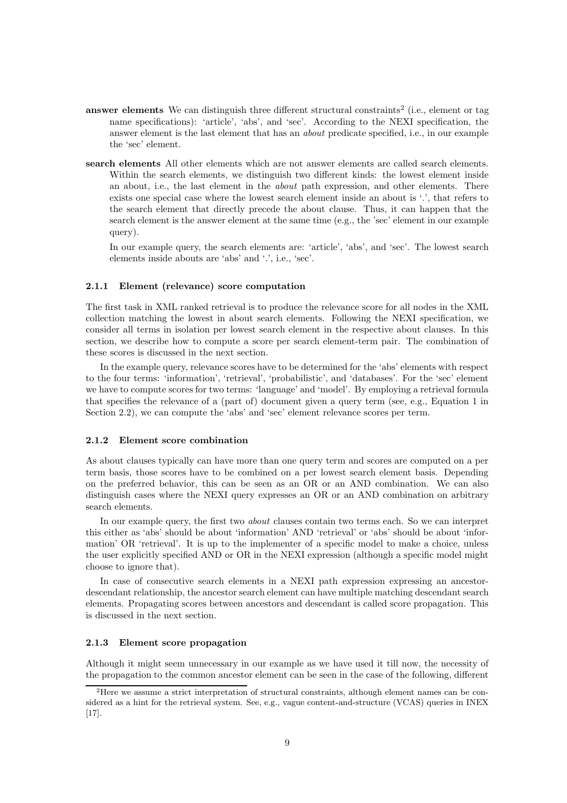- **answer elements** We can distinguish three different structural constraints<sup>2</sup> (i.e., element or tag name specifications): 'article', 'abs', and 'sec'. According to the NEXI specification, the answer element is the last element that has an about predicate specified, i.e., in our example the 'sec' element.
- search elements All other elements which are not answer elements are called search elements. Within the search elements, we distinguish two different kinds: the lowest element inside an about, i.e., the last element in the about path expression, and other elements. There exists one special case where the lowest search element inside an about is '.', that refers to the search element that directly precede the about clause. Thus, it can happen that the search element is the answer element at the same time (e.g., the 'sec' element in our example query).

In our example query, the search elements are: 'article', 'abs', and 'sec'. The lowest search elements inside abouts are 'abs' and '.', i.e., 'sec'.

#### 2.1.1 Element (relevance) score computation

The first task in XML ranked retrieval is to produce the relevance score for all nodes in the XML collection matching the lowest in about search elements. Following the NEXI specification, we consider all terms in isolation per lowest search element in the respective about clauses. In this section, we describe how to compute a score per search element-term pair. The combination of these scores is discussed in the next section.

In the example query, relevance scores have to be determined for the 'abs' elements with respect to the four terms: 'information', 'retrieval', 'probabilistic', and 'databases'. For the 'sec' element we have to compute scores for two terms: 'language' and 'model'. By employing a retrieval formula that specifies the relevance of a (part of) document given a query term (see, e.g., Equation 1 in Section 2.2), we can compute the 'abs' and 'sec' element relevance scores per term.

#### 2.1.2 Element score combination

As about clauses typically can have more than one query term and scores are computed on a per term basis, those scores have to be combined on a per lowest search element basis. Depending on the preferred behavior, this can be seen as an OR or an AND combination. We can also distinguish cases where the NEXI query expresses an OR or an AND combination on arbitrary search elements.

In our example query, the first two about clauses contain two terms each. So we can interpret this either as 'abs' should be about 'information' AND 'retrieval' or 'abs' should be about 'information' OR 'retrieval'. It is up to the implementer of a specific model to make a choice, unless the user explicitly specified AND or OR in the NEXI expression (although a specific model might choose to ignore that).

In case of consecutive search elements in a NEXI path expression expressing an ancestordescendant relationship, the ancestor search element can have multiple matching descendant search elements. Propagating scores between ancestors and descendant is called score propagation. This is discussed in the next section.

#### 2.1.3 Element score propagation

Although it might seem unnecessary in our example as we have used it till now, the necessity of the propagation to the common ancestor element can be seen in the case of the following, different

<sup>2</sup>Here we assume a strict interpretation of structural constraints, although element names can be considered as a hint for the retrieval system. See, e.g., vague content-and-structure (VCAS) queries in INEX [17].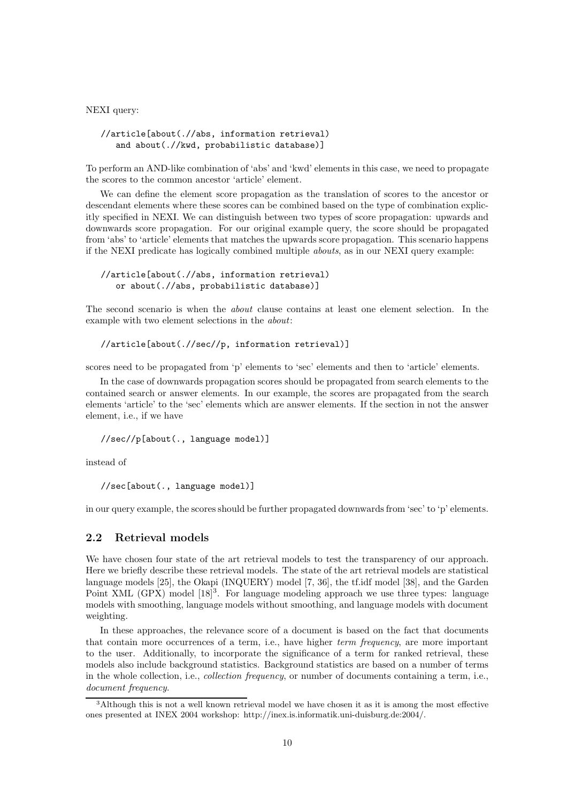NEXI query:

```
//article[about(.//abs, information retrieval)
   and about(.//kwd, probabilistic database)]
```
To perform an AND-like combination of 'abs' and 'kwd' elements in this case, we need to propagate the scores to the common ancestor 'article' element.

We can define the element score propagation as the translation of scores to the ancestor or descendant elements where these scores can be combined based on the type of combination explicitly specified in NEXI. We can distinguish between two types of score propagation: upwards and downwards score propagation. For our original example query, the score should be propagated from 'abs' to 'article' elements that matches the upwards score propagation. This scenario happens if the NEXI predicate has logically combined multiple abouts, as in our NEXI query example:

#### //article[about(.//abs, information retrieval) or about(.//abs, probabilistic database)]

The second scenario is when the about clause contains at least one element selection. In the example with two element selections in the about:

//article[about(.//sec//p, information retrieval)]

scores need to be propagated from 'p' elements to 'sec' elements and then to 'article' elements.

In the case of downwards propagation scores should be propagated from search elements to the contained search or answer elements. In our example, the scores are propagated from the search elements 'article' to the 'sec' elements which are answer elements. If the section in not the answer element, i.e., if we have

//sec//p[about(., language model)]

instead of

```
//sec[about(., language model)]
```
in our query example, the scores should be further propagated downwardsfrom 'sec' to 'p' elements.

### 2.2 Retrieval models

We have chosen four state of the art retrieval models to test the transparency of our approach. Here we briefly describe these retrieval models. The state of the art retrieval models are statistical language models [25], the Okapi (INQUERY) model [7, 36], the tf.idf model [38], and the Garden Point XML (GPX) model [18]<sup>3</sup>. For language modeling approach we use three types: language models with smoothing, language models without smoothing, and language models with document weighting.

In these approaches, the relevance score of a document is based on the fact that documents that contain more occurrences of a term, i.e., have higher term frequency, are more important to the user. Additionally, to incorporate the significance of a term for ranked retrieval, these models also include background statistics. Background statistics are based on a number of terms in the whole collection, i.e., collection frequency, or number of documents containing a term, i.e., document frequency.

<sup>3</sup>Although this is not a well known retrieval model we have chosen it as it is among the most effective ones presented at INEX 2004 workshop: http://inex.is.informatik.uni-duisburg.de:2004/.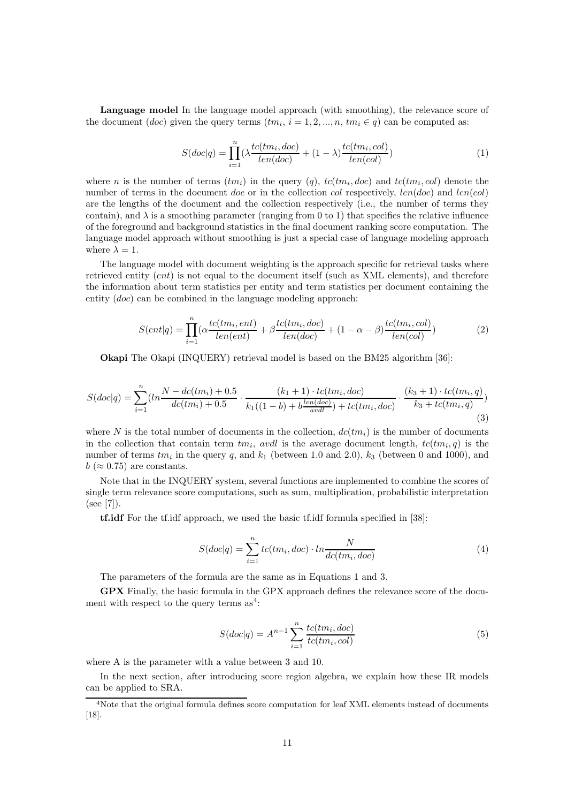Language model In the language model approach (with smoothing), the relevance score of the document  $(doc)$  given the query terms  $(tm_i, i = 1, 2, ..., n, tm_i \in q)$  can be computed as:

$$
S(doc|q) = \prod_{i=1}^{n} (\lambda \frac{tc(tm_i, doc)}{len(doc)} + (1 - \lambda) \frac{tc(tm_i, col)}{len(cd)})
$$
\n
$$
(1)
$$

where *n* is the number of terms  $(tm_i)$  in the query  $(q)$ ,  $tc(tm_i, doc)$  and  $tc(tm_i, col)$  denote the number of terms in the document doc or in the collection col respectively,  $len(doc)$  and  $len(cd)$ are the lengths of the document and the collection respectively (i.e., the number of terms they contain), and  $\lambda$  is a smoothing parameter (ranging from 0 to 1) that specifies the relative influence of the foreground and background statistics in the final document ranking score computation. The language model approach without smoothing is just a special case of language modeling approach where  $\lambda = 1$ .

The language model with document weighting is the approach specific for retrieval tasks where retrieved entity (ent) is not equal to the document itself (such as XML elements), and therefore the information about term statistics per entity and term statistics per document containing the entity (doc) can be combined in the language modeling approach:

$$
S(ent|q) = \prod_{i=1}^{n} (\alpha \frac{tc(tm_i, ent)}{len(ent)} + \beta \frac{tc(tm_i, doc)}{len(doc)} + (1 - \alpha - \beta) \frac{tc(tm_i, col)}{len(col)})
$$
(2)

Okapi The Okapi (INQUERY) retrieval model is based on the BM25 algorithm [36]:

$$
S(doc|q) = \sum_{i=1}^{n} (ln \frac{N - dc(tm_i) + 0.5}{dc(tm_i) + 0.5} \cdot \frac{(k_1 + 1) \cdot tc(tm_i, doc)}{k_1((1 - b) + b\frac{len(doc)}{avdl}) + tc(tm_i, doc)} \cdot \frac{(k_3 + 1) \cdot tc(tm_i, q)}{k_3 + tc(tm_i, q)}
$$
\n(3)

where N is the total number of documents in the collection,  $dc(t_m_i)$  is the number of documents in the collection that contain term  $tm_i$ , avdl is the average document length,  $tc(tm_i, q)$  is the number of terms  $tm_i$  in the query q, and  $k_1$  (between 1.0 and 2.0),  $k_3$  (between 0 and 1000), and  $b \approx 0.75$  are constants.

Note that in the INQUERY system, several functions are implemented to combine the scores of single term relevance score computations, such as sum, multiplication, probabilistic interpretation (see [7]).

tf.idf For the tf.idf approach, we used the basic tf.idf formula specified in [38]:

$$
S(doc|q) = \sum_{i=1}^{n} tc(tm_i, doc) \cdot ln \frac{N}{dc(tm_i, doc)}
$$
\n(4)

The parameters of the formula are the same as in Equations 1 and 3.

GPX Finally, the basic formula in the GPX approach defines the relevance score of the document with respect to the query terms  $as<sup>4</sup>$ :

$$
S(doc|q) = A^{n-1} \sum_{i=1}^{n} \frac{tc(tm_i, doc)}{tc(tm_i, col)}
$$
\n(5)

where A is the parameter with a value between 3 and 10.

In the next section, after introducing score region algebra, we explain how these IR models can be applied to SRA.

<sup>4</sup>Note that the original formula defines score computation for leaf XML elements instead of documents [18].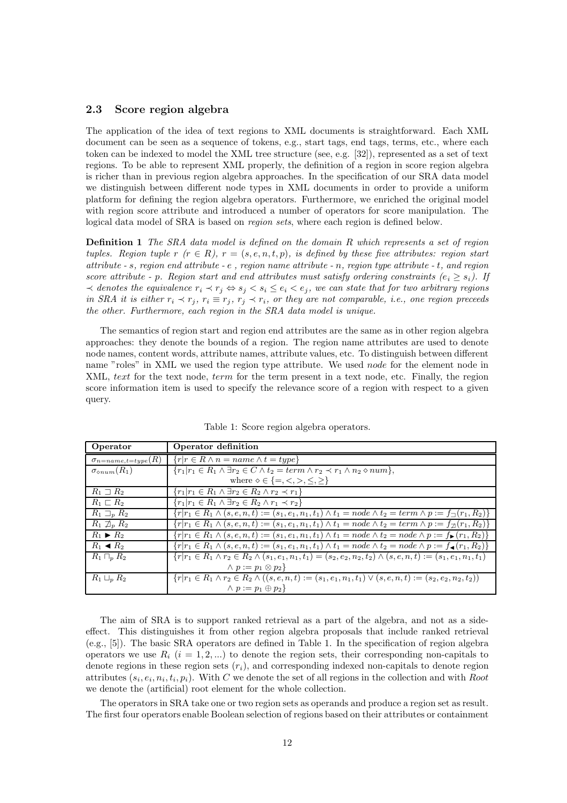### 2.3 Score region algebra

The application of the idea of text regions to XML documents is straightforward. Each XML document can be seen as a sequence of tokens, e.g., start tags, end tags, terms, etc., where each token can be indexed to model the XML tree structure (see, e.g. [32]), represented as a set of text regions. To be able to represent XML properly, the definition of a region in score region algebra is richer than in previous region algebra approaches. In the specification of our SRA data model we distinguish between different node types in XML documents in order to provide a uniform platform for defining the region algebra operators. Furthermore, we enriched the original model with region score attribute and introduced a number of operators for score manipulation. The logical data model of SRA is based on region sets, where each region is defined below.

Definition 1 The SRA data model is defined on the domain R which represents a set of region tuples. Region tuple  $r(r \in R)$ ,  $r = (s, e, n, t, p)$ , is defined by these five attributes: region start attribute - s, region end attribute - e , region name attribute - n, region type attribute - t, and region score attribute - p. Region start and end attributes must satisfy ordering constraints  $(e_i \geq s_i)$ . If  $\prec$  denotes the equivalence  $r_i \prec r_j \Leftrightarrow s_j \prec s_i \leq e_i \prec e_j$ , we can state that for two arbitrary regions in SRA it is either  $r_i \prec r_j$ ,  $r_i \equiv r_j$ ,  $r_j \prec r_i$ , or they are not comparable, i.e., one region preceeds the other. Furthermore, each region in the SRA data model is unique.

The semantics of region start and region end attributes are the same as in other region algebra approaches: they denote the bounds of a region. The region name attributes are used to denote node names, content words, attribute names, attribute values, etc. To distinguish between different name "roles" in XML we used the region type attribute. We used node for the element node in XML, text for the text node, term for the term present in a text node, etc. Finally, the region score information item is used to specify the relevance score of a region with respect to a given query.

| Operator                         | Operator definition                                                                                                                         |
|----------------------------------|---------------------------------------------------------------------------------------------------------------------------------------------|
| $\sigma_{n = name, t = type}(R)$ | $\{r r \in R \wedge n = name \wedge t = type\}$                                                                                             |
| $\sigma_{\diamond num}(R_1)$     | $\{r_1 r_1 \in R_1 \wedge \exists r_2 \in C \wedge t_2 = \overline{term \wedge r_2 \prec r_1 \wedge n_2 \diamond num}\},\$                  |
|                                  | where $\diamond \in \{ =, <, >, \leq, \geq \}$                                                                                              |
| $R_1 \sqsupset R_2$              | ${r_1 r_1 \in R_1 \land \exists r_2 \in R_2 \land r_2 \prec r_1}$                                                                           |
| $R_1 \sqsubset R_2$              | ${r_1 r_1 \in R_1 \land \exists r_2 \in R_2 \land r_1 \prec r_2}$                                                                           |
| $R_1 \sqsupset_R R_2$            | $\{r r_1 \in R_1 \land (s, e, n, t) := (s_1, e_1, n_1, t_1) \land t_1 = node \land t_2 = term \land p := f_{\square}(r_1, R_2)\}\$          |
| $R_1 \not\supseteq_p R_2$        | $\{r r_1 \in R_1 \wedge (s, e, n, t) := (s_1, e_1, n_1, t_1) \wedge t_1 = node \wedge t_2 = term \wedge p := f_{\mathcal{D}}(r_1, R_2)\}\$  |
| $R_1 \triangleright R_2$         | ${r r_1 \in R_1 \land (s, e, n, t) := (s_1, e_1, n_1, t_1) \land t_1 = node \land t_2 = node \land p := f_{\blacktriangleright}(r_1, R_2)}$ |
| $R_1 \triangleleft R_2$          | $\{r r_1 \in R_1 \land (s, e, n, t) := (s_1, e_1, n_1, t_1) \land t_1 = node \land t_2 = node \land p := f_{\blacktriangle}(r_1, R_2)\}\$   |
| $R_1\sqcap_n R_2$                | ${r r_1 \in R_1 \land r_2 \in R_2 \land (s_1, e_1, n_1, t_1) = (s_2, e_2, n_2, t_2) \land (s, e, n, t) := (s_1, e_1, n_1, t_1)}$            |
|                                  | $\wedge p := p_1 \otimes p_2$                                                                                                               |
| $R_1 \sqcup_n R_2$               | $\{r r_1 \in R_1 \land r_2 \in R_2 \land ((s, e, n, t) := (s_1, e_1, n_1, t_1) \lor (s, e, n, t) := (s_2, e_2, n_2, t_2))\}$                |
|                                  | $\wedge p := p_1 \oplus p_2$                                                                                                                |

Table 1: Score region algebra operators.

The aim of SRA is to support ranked retrieval as a part of the algebra, and not as a sideeffect. This distinguishes it from other region algebra proposals that include ranked retrieval (e.g., [5]). The basic SRA operators are defined in Table 1. In the specification of region algebra operators we use  $R_i$   $(i = 1, 2, ...)$  to denote the region sets, their corresponding non-capitals to denote regions in these region sets  $(r<sub>i</sub>)$ , and corresponding indexed non-capitals to denote region attributes  $(s_i, e_i, n_i, t_i, p_i)$ . With C we denote the set of all regions in the collection and with Root we denote the (artificial) root element for the whole collection.

The operators in SRA take one or two region sets as operands and produce a region set as result. The first four operators enable Boolean selection of regions based on their attributes or containment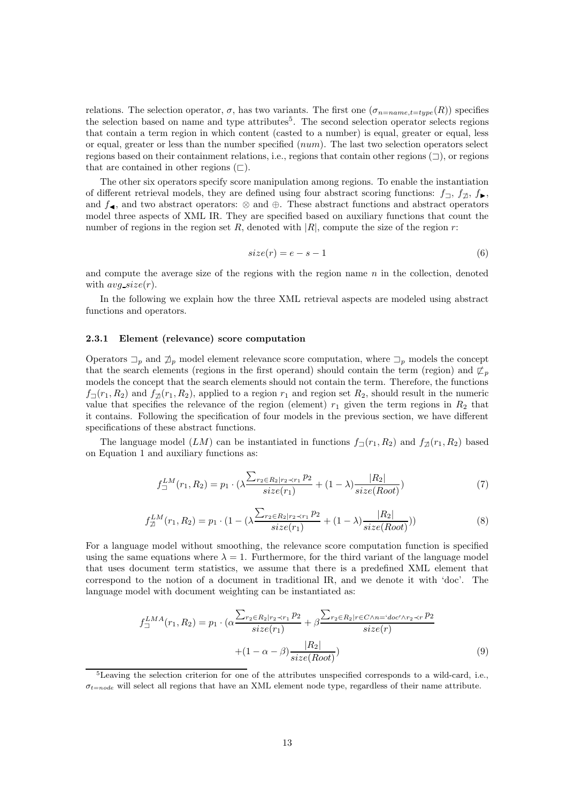relations. The selection operator,  $\sigma$ , has two variants. The first one  $(\sigma_{n=name, t=type}(R))$  specifies the selection based on name and type attributes<sup>5</sup>. The second selection operator selects regions that contain a term region in which content (casted to a number) is equal, greater or equal, less or equal, greater or less than the number specified  $(num)$ . The last two selection operators select regions based on their containment relations, i.e., regions that contain other regions  $(\neg)$ , or regions that are contained in other regions  $(\sqsubset).$ 

The other six operators specify score manipulation among regions. To enable the instantiation of different retrieval models, they are defined using four abstract scoring functions:  $f_{\Box}$ ,  $f_{\mathcal{D}}$ ,  $f_{\mathcal{D}}$ , and  $f_{\blacktriangleleft}$ , and two abstract operators:  $\otimes$  and  $\oplus$ . These abstract functions and abstract operators model three aspects of XML IR. They are specified based on auxiliary functions that count the number of regions in the region set R, denoted with  $|R|$ , compute the size of the region r:

$$
size(r) = e - s - 1 \tag{6}
$$

and compute the average size of the regions with the region name  $n$  in the collection, denoted with  $avg\_size(r)$ .

In the following we explain how the three XML retrieval aspects are modeled using abstract functions and operators.

#### 2.3.1 Element (relevance) score computation

Operators  $\Box_p$  and  $\overline{\mathcal{A}}_p$  model element relevance score computation, where  $\Box_p$  models the concept that the search elements (regions in the first operand) should contain the term (region) and  $\mathcal{L}_p$ models the concept that the search elements should not contain the term. Therefore, the functions  $f_{\neg}(r_1, R_2)$  and  $f_{\neg}(r_1, R_2)$ , applied to a region  $r_1$  and region set  $R_2$ , should result in the numeric value that specifies the relevance of the region (element)  $r_1$  given the term regions in  $R_2$  that it contains. Following the specification of four models in the previous section, we have different specifications of these abstract functions.

The language model  $(LM)$  can be instantiated in functions  $f<sub>1</sub>(r<sub>1</sub>, R<sub>2</sub>)$  and  $f<sub>\mathcal{A}</sub>(r<sub>1</sub>, R<sub>2</sub>)$  based on Equation 1 and auxiliary functions as:

$$
f_{\Box}^{LM}(r_1, R_2) = p_1 \cdot (\lambda \frac{\sum_{r_2 \in R_2 | r_2 \prec r_1} p_2}{size(r_1)} + (1 - \lambda) \frac{|R_2|}{size(Root)})
$$
(7)

$$
f_{\mathcal{Z}}^{LM}(r_1, R_2) = p_1 \cdot (1 - (\lambda \frac{\sum_{r_2 \in R_2 | r_2 \prec r_1} p_2}{size(r_1)} + (1 - \lambda) \frac{|R_2|}{size(Root)})
$$
(8)

For a language model without smoothing, the relevance score computation function is specified using the same equations where  $\lambda = 1$ . Furthermore, for the third variant of the language model that uses document term statistics, we assume that there is a predefined XML element that correspond to the notion of a document in traditional IR, and we denote it with 'doc'. The language model with document weighting can be instantiated as:

$$
f_{\square}^{LMA}(r_1, R_2) = p_1 \cdot (\alpha \frac{\sum_{r_2 \in R_2 | r_2 \prec r_1} p_2}{size(r_1)} + \beta \frac{\sum_{r_2 \in R_2 | r \in C \land n = 'doc' \land r_2 \prec r} p_2}{size(r)} + (1 - \alpha - \beta) \frac{|R_2|}{size(Root)})
$$
\n(9)

<sup>5</sup>Leaving the selection criterion for one of the attributes unspecified corresponds to a wild-card, i.e.,  $\sigma_{t=node}$  will select all regions that have an XML element node type, regardless of their name attribute.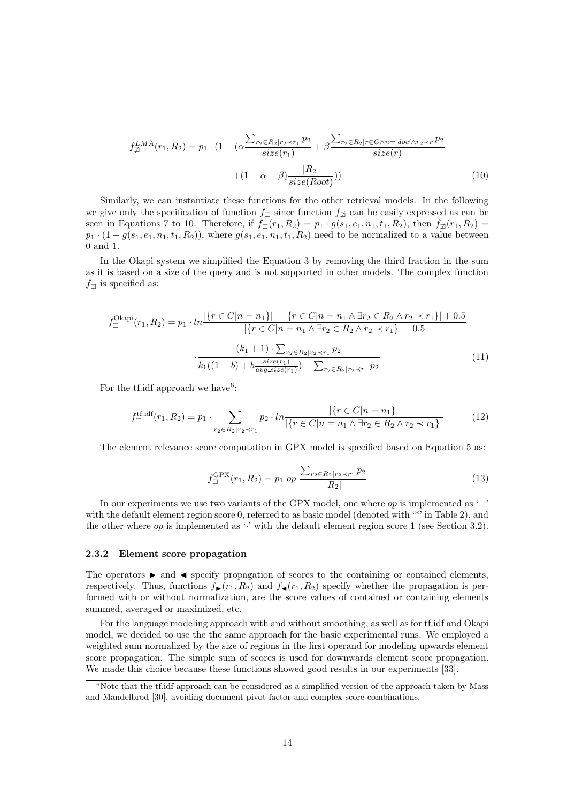$$
f_{\mathcal{D}}^{LMA}(r_1, R_2) = p_1 \cdot (1 - (\alpha \frac{\sum_{r_2 \in R_2 | r_2 \prec r_1} p_2}{size(r_1)} + \beta \frac{\sum_{r_2 \in R_2 | r \in C \land n = 'doc' \land r_2 \prec r} p_2}{size(r)} + (1 - \alpha - \beta) \frac{|R_2|}{size(Root)}))
$$
(10)

Similarly, we can instantiate these functions for the other retrieval models. In the following we give only the specification of function  $f_{\Box}$  since function  $f_{\Box}$  can be easily expressed as can be seen in Equations 7 to 10. Therefore, if  $f_{\square}(r_1, R_2) = p_1 \cdot g(s_1, e_1, n_1, t_1, R_2)$ , then  $f_{\square}(r_1, R_2) =$  $p_1 \cdot (1 - g(s_1, e_1, n_1, t_1, R_2))$ , where  $g(s_1, e_1, n_1, t_1, R_2)$  need to be normalized to a value between 0 and 1.

In the Okapi system we simplified the Equation 3 by removing the third fraction in the sum as it is based on a size of the query and is not supported in other models. The complex function  $f_{\square}$  is specified as:

$$
f_{\square}^{\text{Okapi}}(r_1, R_2) = p_1 \cdot ln \frac{|\{r \in C | n = n_1\}| - |\{r \in C | n = n_1 \land \exists r_2 \in R_2 \land r_2 \prec r_1\}| + 0.5|}{|\{r \in C | n = n_1 \land \exists r_2 \in R_2 \land r_2 \prec r_1\}| + 0.5|}
$$

$$
\cdot \frac{(k_1 + 1) \cdot \sum_{r_2 \in R_2 | r_2 \prec r_1} p_2}{k_1((1 - b) + b \frac{size(r_1)}{avg\_size(r_1)}) + \sum_{r_2 \in R_2 | r_2 \prec r_1} p_2}
$$
(11)

For the tf.idf approach we have<sup>6</sup>:

$$
f_{\square}^{\text{tf.idf}}(r_1, R_2) = p_1 \cdot \sum_{r_2 \in R_2 | r_2 \prec r_1} p_2 \cdot \ln \frac{|\{r \in C | n = n_1\}|}{|\{r \in C | n = n_1 \land \exists r_2 \in R_2 \land r_2 \prec r_1\}|}
$$
(12)

The element relevance score computation in GPX model is specified based on Equation 5 as:

$$
f_{\square}^{\text{GPX}}(r_1, R_2) = p_1 \text{ op } \frac{\sum_{r_2 \in R_2 | r_2 \prec r_1} p_2}{|R_2|}
$$
(13)

In our experiments we use two variants of the GPX model, one where  $op$  is implemented as '+' with the default element region score 0, referred to as basic model (denoted with '\*' in Table 2), and the other where  $op$  is implemented as '·' with the default element region score 1 (see Section 3.2).

#### 2.3.2 Element score propagation

The operators  $\blacktriangleright$  and  $\blacktriangleleft$  specify propagation of scores to the containing or contained elements, respectively. Thus, functions  $f_{\blacktriangleright}(r_1, R_2)$  and  $f_{\blacktriangleleft}(r_1, R_2)$  specify whether the propagation is performed with or without normalization, are the score values of contained or containing elements summed, averaged or maximized, etc.

For the language modeling approach with and without smoothing, as well as for tf.idf and Okapi model, we decided to use the the same approach for the basic experimental runs. We employed a weighted sum normalized by the size of regions in the first operand for modeling upwards element score propagation. The simple sum of scores is used for downwards element score propagation. We made this choice because these functions showed good results in our experiments [33].

 $6$ Note that the tf.idf approach can be considered as a simplified version of the approach taken by Mass and Mandelbrod [30], avoiding document pivot factor and complex score combinations.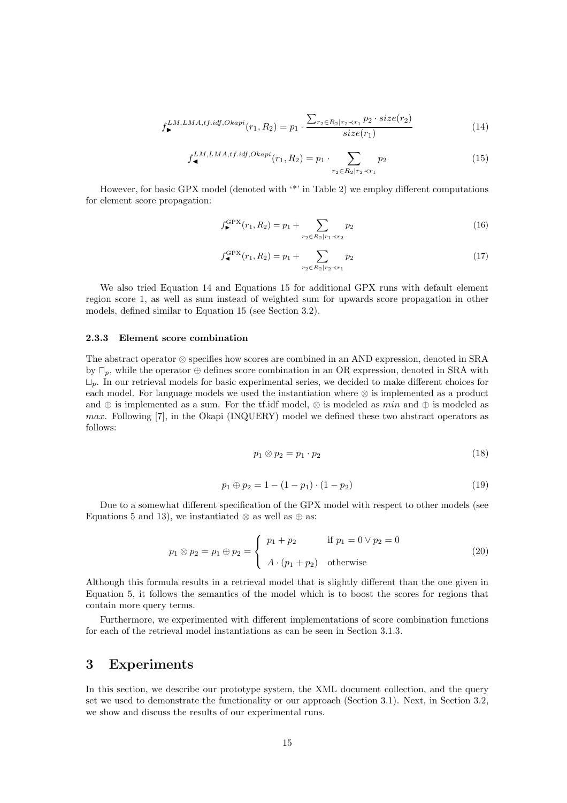$$
f_{\blacktriangleright}^{LM,LMA,tf.idf,Okapi}(r_1, R_2) = p_1 \cdot \frac{\sum_{r_2 \in R_2 | r_2 \prec r_1} p_2 \cdot size(r_2)}{size(r_1)} \tag{14}
$$

$$
f_{\blacktriangleleft}^{LM,LMA,tf.idf,Okapi}(r_1, R_2) = p_1 \cdot \sum_{r_2 \in R_2 | r_2 \prec r_1} p_2 \tag{15}
$$

However, for basic GPX model (denoted with '\*' in Table 2) we employ different computations for element score propagation:

$$
f_{\blacktriangleright}^{\text{GPX}}(r_1, R_2) = p_1 + \sum_{r_2 \in R_2 | r_1 \prec r_2} p_2 \tag{16}
$$

$$
f_{\blacktriangleleft}^{\text{GPX}}(r_1, R_2) = p_1 + \sum_{r_2 \in R_2 | r_2 \prec r_1} p_2 \tag{17}
$$

We also tried Equation 14 and Equations 15 for additional GPX runs with default element region score 1, as well as sum instead of weighted sum for upwards score propagation in other models, defined similar to Equation 15 (see Section 3.2).

#### 2.3.3 Element score combination

The abstract operator ⊗ specifies how scores are combined in an AND expression, denoted in SRA by  $\Box_p$ , while the operator  $\oplus$  defines score combination in an OR expression, denoted in SRA with  $\Box_n$ . In our retrieval models for basic experimental series, we decided to make different choices for each model. For language models we used the instantiation where ⊗ is implemented as a product and ⊕ is implemented as a sum. For the tf.idf model,  $\otimes$  is modeled as min and  $\oplus$  is modeled as max. Following [7], in the Okapi (INQUERY) model we defined these two abstract operators as follows:

$$
p_1 \otimes p_2 = p_1 \cdot p_2 \tag{18}
$$

$$
p_1 \oplus p_2 = 1 - (1 - p_1) \cdot (1 - p_2) \tag{19}
$$

Due to a somewhat different specification of the GPX model with respect to other models (see Equations 5 and 13), we instantiated ⊗ as well as  $\oplus$  as:

$$
p_1 \otimes p_2 = p_1 \oplus p_2 = \begin{cases} p_1 + p_2 & \text{if } p_1 = 0 \vee p_2 = 0 \\ A \cdot (p_1 + p_2) & \text{otherwise} \end{cases}
$$
 (20)

Although this formula results in a retrieval model that is slightly different than the one given in Equation 5, it follows the semantics of the model which is to boost the scores for regions that contain more query terms.

Furthermore, we experimented with different implementations of score combination functions for each of the retrieval model instantiations as can be seen in Section 3.1.3.

### 3 Experiments

In this section, we describe our prototype system, the XML document collection, and the query set we used to demonstrate the functionality or our approach (Section 3.1). Next, in Section 3.2, we show and discuss the results of our experimental runs.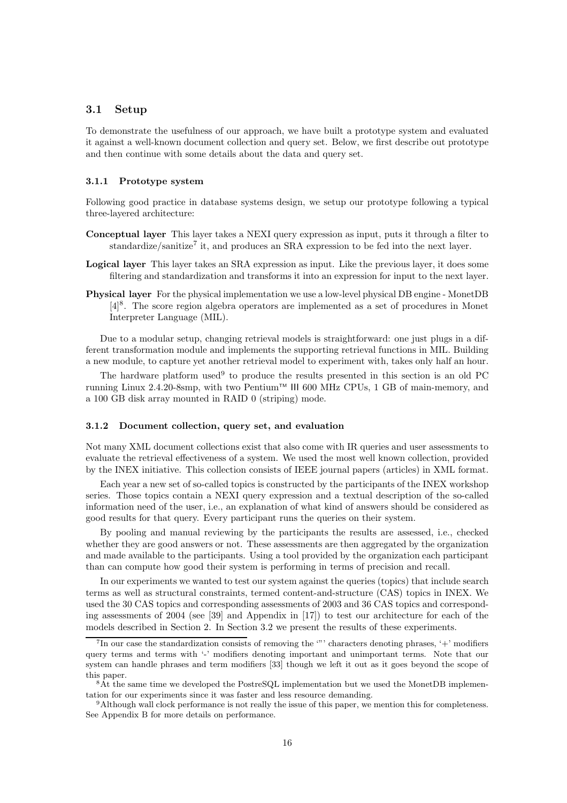### 3.1 Setup

To demonstrate the usefulness of our approach, we have built a prototype system and evaluated it against a well-known document collection and query set. Below, we first describe out prototype and then continue with some details about the data and query set.

#### 3.1.1 Prototype system

Following good practice in database systems design, we setup our prototype following a typical three-layered architecture:

- Conceptual layer This layer takes a NEXI query expression as input, puts it through a filter to standardize/sanitize<sup>7</sup> it, and produces an SRA expression to be fed into the next layer.
- Logical layer This layer takes an SRA expression as input. Like the previous layer, it does some filtering and standardization and transforms it into an expression for input to the next layer.
- Physical layer For the physical implementation we use a low-level physical DB engine MonetDB [4] 8 . The score region algebra operators are implemented as a set of procedures in Monet Interpreter Language (MIL).

Due to a modular setup, changing retrieval models is straightforward: one just plugs in a different transformation module and implements the supporting retrieval functions in MIL. Building a new module, to capture yet another retrieval model to experiment with, takes only half an hour.

The hardware platform used<sup>9</sup> to produce the results presented in this section is an old PC running Linux 2.4.20-8smp, with two Pentium<sup>TM</sup> III 600 MHz CPUs, 1 GB of main-memory, and a 100 GB disk array mounted in RAID 0 (striping) mode.

#### 3.1.2 Document collection, query set, and evaluation

Not many XML document collections exist that also come with IR queries and user assessments to evaluate the retrieval effectiveness of a system. We used the most well known collection, provided by the INEX initiative. This collection consists of IEEE journal papers (articles) in XML format.

Each year a new set of so-called topics is constructed by the participants of the INEX workshop series. Those topics contain a NEXI query expression and a textual description of the so-called information need of the user, i.e., an explanation of what kind of answers should be considered as good results for that query. Every participant runs the queries on their system.

By pooling and manual reviewing by the participants the results are assessed, i.e., checked whether they are good answers or not. These assessments are then aggregated by the organization and made available to the participants. Using a tool provided by the organization each participant than can compute how good their system is performing in terms of precision and recall.

In our experiments we wanted to test our system against the queries (topics) that include search terms as well as structural constraints, termed content-and-structure (CAS) topics in INEX. We used the 30 CAS topics and corresponding assessments of 2003 and 36 CAS topics and corresponding assessments of 2004 (see [39] and Appendix in [17]) to test our architecture for each of the models described in Section 2. In Section 3.2 we present the results of these experiments.

<sup>&</sup>lt;sup>7</sup>In our case the standardization consists of removing the ""' characters denoting phrases, '+' modifiers query terms and terms with '-' modifiers denoting important and unimportant terms. Note that our system can handle phrases and term modifiers [33] though we left it out as it goes beyond the scope of this paper.

<sup>8</sup>At the same time we developed the PostreSQL implementation but we used the MonetDB implementation for our experiments since it was faster and less resource demanding.

<sup>9</sup>Although wall clock performance is not really the issue of this paper, we mention this for completeness. See Appendix B for more details on performance.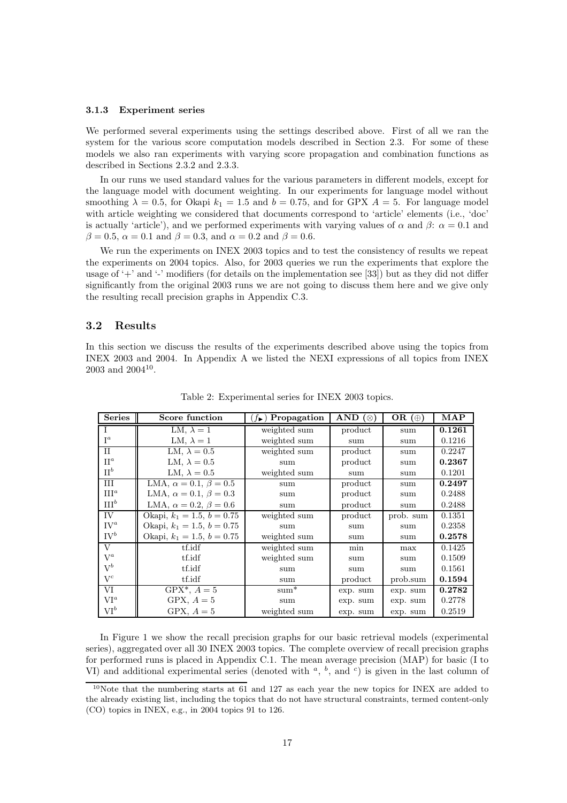#### 3.1.3 Experiment series

We performed several experiments using the settings described above. First of all we ran the system for the various score computation models described in Section 2.3. For some of these models we also ran experiments with varying score propagation and combination functions as described in Sections 2.3.2 and 2.3.3.

In our runs we used standard values for the various parameters in different models, except for the language model with document weighting. In our experiments for language model without smoothing  $\lambda = 0.5$ , for Okapi  $k_1 = 1.5$  and  $b = 0.75$ , and for GPX  $A = 5$ . For language model with article weighting we considered that documents correspond to 'article' elements (i.e., 'doc' is actually 'article'), and we performed experiments with varying values of  $\alpha$  and  $\beta$ :  $\alpha = 0.1$  and  $\beta = 0.5$ ,  $\alpha = 0.1$  and  $\beta = 0.3$ , and  $\alpha = 0.2$  and  $\beta = 0.6$ .

We run the experiments on INEX 2003 topics and to test the consistency of results we repeat the experiments on 2004 topics. Also, for 2003 queries we run the experiments that explore the usage of  $+$  and  $-$  modifiers (for details on the implementation see [33]) but as they did not differ significantly from the original 2003 runs we are not going to discuss them here and we give only the resulting recall precision graphs in Appendix C.3.

#### 3.2 Results

In this section we discuss the results of the experiments described above using the topics from INEX 2003 and 2004. In Appendix A we listed the NEXI expressions of all topics from INEX  $2003$  and  $2004^{10}$ .

| <b>Series</b>     | Score function                      | $(f_{\blacktriangleright})$ Propagation | AND $(\otimes)$ | OR $(\oplus)$ | <b>MAP</b> |
|-------------------|-------------------------------------|-----------------------------------------|-----------------|---------------|------------|
|                   | LM, $\lambda = 1$                   | weighted sum                            | product         | sum           | 0.1261     |
| $I^a$             | LM, $\lambda = 1$                   | weighted sum                            | sum             | sum           | 0.1216     |
| $\mathbf{H}$      | LM, $\lambda = 0.5$                 | weighted sum                            | product         | sum           | 0.2247     |
| $\Pi^a$           | LM, $\lambda = 0.5$                 | sum                                     | product         | sum           | 0.2367     |
| $\Pi^b$           | LM, $\lambda = 0.5$                 | weighted sum                            | sum             | sum           | 0.1201     |
| III               | LMA, $\alpha = 0.1$ , $\beta = 0.5$ | sum                                     | product         | sum           | 0.2497     |
| III <sup>a</sup>  | LMA, $\alpha = 0.1$ , $\beta = 0.3$ | sum                                     | product         | sum           | 0.2488     |
| III <sup>b</sup>  | LMA, $\alpha = 0.2$ , $\beta = 0.6$ | sum                                     | product         | sum           | 0.2488     |
| IV                | Okapi, $k_1 = 1.5$ , $b = 0.75$     | weighted sum                            | product         | prob. sum     | 0.1351     |
| $IV^a$            | Okapi, $k_1 = 1.5, b = 0.75$        | sum                                     | sum             | sum           | 0.2358     |
| $\mathrm{IV}^b$   | Okapi, $k_1 = 1.5, b = 0.75$        | weighted sum                            | sum             | sum           | 0.2578     |
| V                 | tf.idf                              | weighted sum                            | min             | max           | 0.1425     |
| $V^a$             | tf.idf                              | weighted sum                            | sum             | sum           | 0.1509     |
| $\mathrm{V}^b$    | tf.idf                              | sum                                     | sum             | sum           | 0.1561     |
| $V^c$             | tf.idf                              | sum                                     | product         | prob.sum      | 0.1594     |
| VI                | $GPX^*, A = 5$                      | $sum^*$                                 | exp. sum        | exp. sum      | 0.2782     |
| $VI^a$            | GPX, $A=5$                          | sum                                     | exp. sum        | exp. sum      | 0.2778     |
| $\mathrm{VI}^{b}$ | GPX, $A=5$                          | weighted sum                            | exp. sum        | exp. sum      | 0.2519     |

Table 2: Experimental series for INEX 2003 topics.

In Figure 1 we show the recall precision graphs for our basic retrieval models (experimental series), aggregated over all 30 INEX 2003 topics. The complete overview of recall precision graphs for performed runs is placed in Appendix C.1. The mean average precision (MAP) for basic (I to VI) and additional experimental series (denoted with  $a, b$ , and  $c$ ) is given in the last column of

<sup>10</sup>Note that the numbering starts at 61 and 127 as each year the new topics for INEX are added to the already existing list, including the topics that do not have structural constraints, termed content-only (CO) topics in INEX, e.g., in 2004 topics 91 to 126.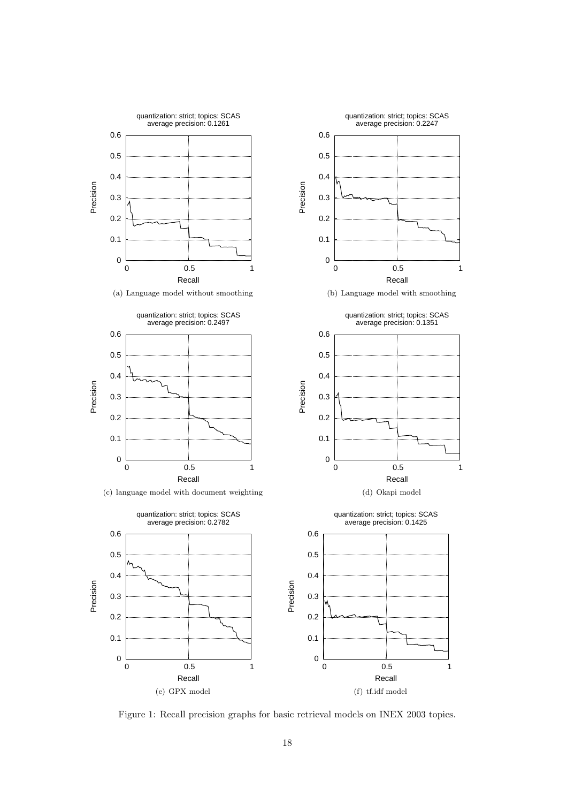

Figure 1: Recall precision graphs for basic retrieval models on INEX 2003 topics.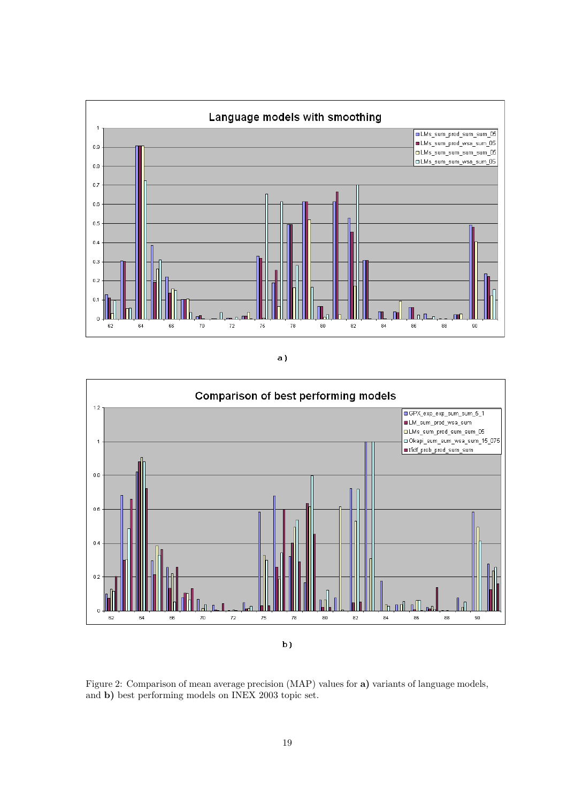

a)



Figure 2: Comparison of mean average precision (MAP) values for a) variants of language models, and b) best performing models on INEX 2003 topic set.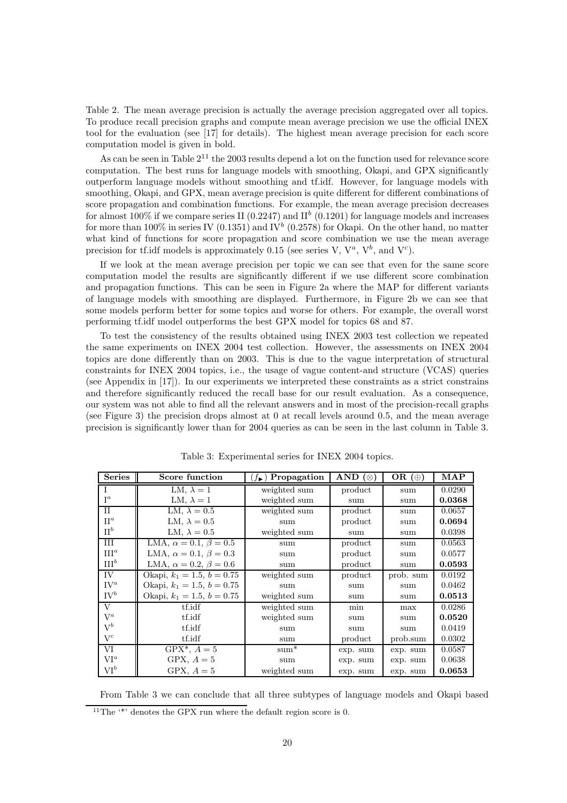Table 2. The mean average precision is actually the average precision aggregated over all topics. To produce recall precision graphs and compute mean average precision we use the official INEX tool for the evaluation (see [17] for details). The highest mean average precision for each score computation model is given in bold.

As can be seen in Table  $2^{11}$  the 2003 results depend a lot on the function used for relevance score computation. The best runs for language models with smoothing, Okapi, and GPX significantly outperform language models without smoothing and tf.idf. However, for language models with smoothing, Okapi, and GPX, mean average precision is quite different for different combinations of score propagation and combination functions. For example, the mean average precision decreases for almost 100% if we compare series II (0.2247) and  $II^b$  (0.1201) for language models and increases for more than 100% in series IV (0.1351) and IV<sup>b</sup> (0.2578) for Okapi. On the other hand, no matter what kind of functions for score propagation and score combination we use the mean average precision for tf.idf models is approximately 0.15 (see series V,  $V^a$ ,  $V^b$ , and  $V^c$ ).

If we look at the mean average precision per topic we can see that even for the same score computation model the results are significantly different if we use different score combination and propagation functions. This can be seen in Figure 2a where the MAP for different variants of language models with smoothing are displayed. Furthermore, in Figure 2b we can see that some models perform better for some topics and worse for others. For example, the overall worst performing tf.idf model outperforms the best GPX model for topics 68 and 87.

To test the consistency of the results obtained using INEX 2003 test collection we repeated the same experiments on INEX 2004 test collection. However, the assessments on INEX 2004 topics are done differently than on 2003. This is due to the vague interpretation of structural constraints for INEX 2004 topics, i.e., the usage of vague content-and structure (VCAS) queries (see Appendix in [17]). In our experiments we interpreted these constraints as a strict constrains and therefore significantly reduced the recall base for our result evaluation. As a consequence, our system was not able to find all the relevant answers and in most of the precision-recall graphs (see Figure 3) the precision drops almost at 0 at recall levels around 0.5, and the mean average precision is significantly lower than for 2004 queries as can be seen in the last column in Table 3.

| <b>Series</b>    | Score function                      | $(f_{\blacktriangleright})$ Propagation | AND $(\otimes)$ | OR $(\oplus)$ | MAP    |
|------------------|-------------------------------------|-----------------------------------------|-----------------|---------------|--------|
|                  | LM, $\lambda = 1$                   | weighted sum                            | product         | sum           | 0.0290 |
| $I^a$            | LM, $\lambda = 1$                   | weighted sum                            | sum             | sum           | 0.0368 |
| II               | LM, $\lambda = 0.5$                 | weighted sum                            | product         | sum           | 0.0657 |
| $\Pi^a$          | LM, $\lambda = 0.5$                 | sum                                     | product         | sum           | 0.0694 |
| $\Pi^b$          | LM, $\lambda = 0.5$                 | weighted sum                            | sum             | sum           | 0.0398 |
| III              | LMA, $\alpha = 0.1$ , $\beta = 0.5$ | sum                                     | product         | sum           | 0.0563 |
| III <sup>a</sup> | LMA, $\alpha = 0.1$ , $\beta = 0.3$ | sum                                     | product         | sum           | 0.0577 |
| III <sup>b</sup> | LMA, $\alpha = 0.2$ , $\beta = 0.6$ | sum                                     | product         | sum           | 0.0593 |
| IV               | Okapi, $k_1 = 1.5, b = 0.75$        | weighted sum                            | product         | prob. sum     | 0.0192 |
| $IV^a$           | Okapi, $k_1 = 1.5, b = 0.75$        | sum                                     | sum             | sum           | 0.0462 |
| $\mathrm{IV}^b$  | Okapi, $k_1 = 1.5$ , $b = 0.75$     | weighted sum                            | sum             | sum           | 0.0513 |
| V                | tf.idf                              | weighted sum                            | min             | max           | 0.0286 |
| $V^a$            | tf.idf                              | weighted sum                            | sum             | sum           | 0.0520 |
| $\mathrm{V}^b$   | tf.idf                              | sum                                     | sum             | sum           | 0.0419 |
| $V^c$            | tf.idf                              | sum                                     | product         | prob.sum      | 0.0302 |
| VI               | $GPX^*, A = 5$                      | $sum^*$                                 | exp. sum        | exp. sum      | 0.0587 |
| $VI^a$           | GPX, $A=5$                          | sum                                     | exp. sum        | exp. sum      | 0.0638 |
| $\mathrm{VI}^b$  | GPX, $A=5$                          | weighted sum                            | exp. sum        | exp. sum      | 0.0653 |

Table 3: Experimental series for INEX 2004 topics.

From Table 3 we can conclude that all three subtypes of language models and Okapi based

<sup>&</sup>lt;sup>11</sup>The '\*' denotes the GPX run where the default region score is 0.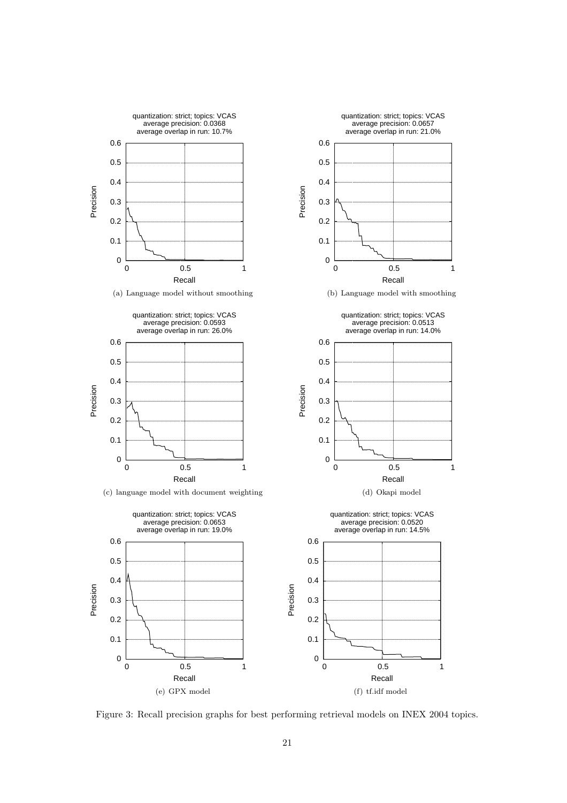

Figure 3: Recall precision graphs for best performing retrieval models on INEX 2004 topics.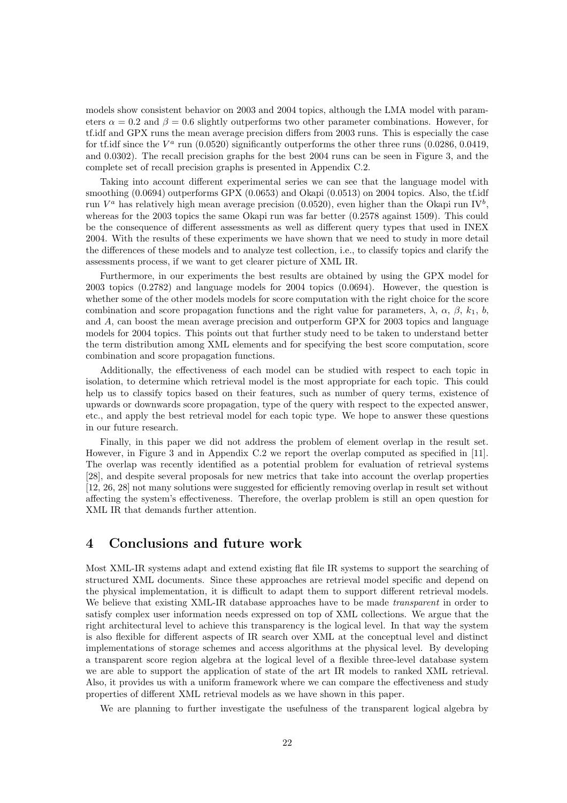models show consistent behavior on 2003 and 2004 topics, although the LMA model with parameters  $\alpha = 0.2$  and  $\beta = 0.6$  slightly outperforms two other parameter combinations. However, for tf.idf and GPX runs the mean average precision differs from 2003 runs. This is especially the case for tf.idf since the  $V^a$  run (0.0520) significantly outperforms the other three runs (0.0286, 0.0419, and 0.0302). The recall precision graphs for the best 2004 runs can be seen in Figure 3, and the complete set of recall precision graphs is presented in Appendix C.2.

Taking into account different experimental series we can see that the language model with smoothing  $(0.0694)$  outperforms GPX  $(0.0653)$  and Okapi  $(0.0513)$  on 2004 topics. Also, the tf.idf run  $V^a$  has relatively high mean average precision (0.0520), even higher than the Okapi run IV<sup>b</sup>, whereas for the 2003 topics the same Okapi run was far better  $(0.2578 \text{ against } 1509)$ . This could be the consequence of different assessments as well as different query types that used in INEX 2004. With the results of these experiments we have shown that we need to study in more detail the differences of these models and to analyze test collection, i.e., to classify topics and clarify the assessments process, if we want to get clearer picture of XML IR.

Furthermore, in our experiments the best results are obtained by using the GPX model for 2003 topics (0.2782) and language models for 2004 topics (0.0694). However, the question is whether some of the other models models for score computation with the right choice for the score combination and score propagation functions and the right value for parameters,  $\lambda$ ,  $\alpha$ ,  $\beta$ ,  $k_1$ ,  $b$ , and A, can boost the mean average precision and outperform GPX for 2003 topics and language models for 2004 topics. This points out that further study need to be taken to understand better the term distribution among XML elements and for specifying the best score computation, score combination and score propagation functions.

Additionally, the effectiveness of each model can be studied with respect to each topic in isolation, to determine which retrieval model is the most appropriate for each topic. This could help us to classify topics based on their features, such as number of query terms, existence of upwards or downwards score propagation, type of the query with respect to the expected answer, etc., and apply the best retrieval model for each topic type. We hope to answer these questions in our future research.

Finally, in this paper we did not address the problem of element overlap in the result set. However, in Figure 3 and in Appendix C.2 we report the overlap computed as specified in [11]. The overlap was recently identified as a potential problem for evaluation of retrieval systems [28], and despite several proposals for new metrics that take into account the overlap properties [12, 26, 28] not many solutions were suggested for efficiently removing overlap in result set without affecting the system's effectiveness. Therefore, the overlap problem is still an open question for XML IR that demands further attention.

### 4 Conclusions and future work

Most XML-IR systems adapt and extend existing flat file IR systems to support the searching of structured XML documents. Since these approaches are retrieval model specific and depend on the physical implementation, it is difficult to adapt them to support different retrieval models. We believe that existing XML-IR database approaches have to be made *transparent* in order to satisfy complex user information needs expressed on top of XML collections. We argue that the right architectural level to achieve this transparency is the logical level. In that way the system is also flexible for different aspects of IR search over XML at the conceptual level and distinct implementations of storage schemes and access algorithms at the physical level. By developing a transparent score region algebra at the logical level of a flexible three-level database system we are able to support the application of state of the art IR models to ranked XML retrieval. Also, it provides us with a uniform framework where we can compare the effectiveness and study properties of different XML retrieval models as we have shown in this paper.

We are planning to further investigate the usefulness of the transparent logical algebra by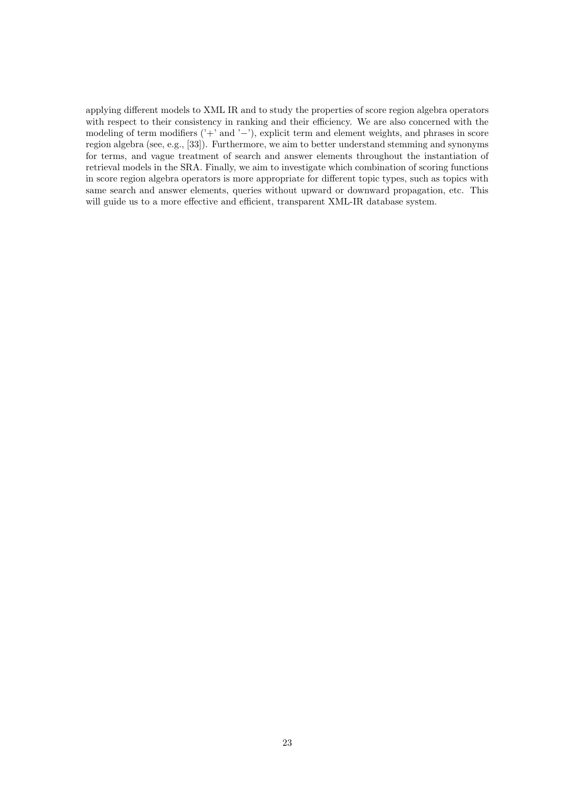applying different models to XML IR and to study the properties of score region algebra operators with respect to their consistency in ranking and their efficiency. We are also concerned with the modeling of term modifiers ('+' and '−'), explicit term and element weights, and phrases in score region algebra (see, e.g., [33]). Furthermore, we aim to better understand stemming and synonyms for terms, and vague treatment of search and answer elements throughout the instantiation of retrieval models in the SRA. Finally, we aim to investigate which combination of scoring functions in score region algebra operators is more appropriate for different topic types, such as topics with same search and answer elements, queries without upward or downward propagation, etc. This will guide us to a more effective and efficient, transparent XML-IR database system.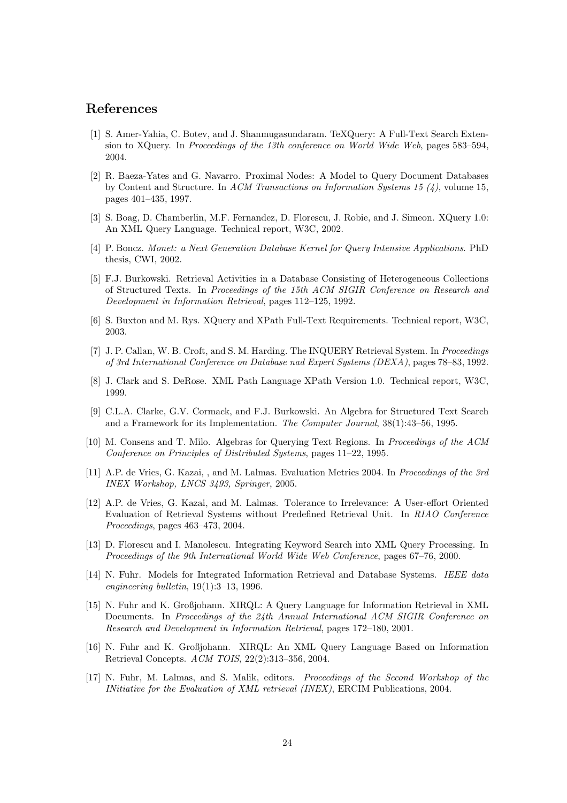### References

- [1] S. Amer-Yahia, C. Botev, and J. Shanmugasundaram. TeXQuery: A Full-Text Search Extension to XQuery. In Proceedings of the 13th conference on World Wide Web, pages 583–594, 2004.
- [2] R. Baeza-Yates and G. Navarro. Proximal Nodes: A Model to Query Document Databases by Content and Structure. In ACM Transactions on Information Systems 15  $(4)$ , volume 15, pages 401–435, 1997.
- [3] S. Boag, D. Chamberlin, M.F. Fernandez, D. Florescu, J. Robie, and J. Simeon. XQuery 1.0: An XML Query Language. Technical report, W3C, 2002.
- [4] P. Boncz. Monet: a Next Generation Database Kernel for Query Intensive Applications. PhD thesis, CWI, 2002.
- [5] F.J. Burkowski. Retrieval Activities in a Database Consisting of Heterogeneous Collections of Structured Texts. In Proceedings of the 15th ACM SIGIR Conference on Research and Development in Information Retrieval, pages 112–125, 1992.
- [6] S. Buxton and M. Rys. XQuery and XPath Full-Text Requirements. Technical report, W3C, 2003.
- [7] J. P. Callan, W. B. Croft, and S. M. Harding. The INQUERY Retrieval System. In *Proceedings* of 3rd International Conference on Database nad Expert Systems (DEXA), pages 78–83, 1992.
- [8] J. Clark and S. DeRose. XML Path Language XPath Version 1.0. Technical report, W3C, 1999.
- [9] C.L.A. Clarke, G.V. Cormack, and F.J. Burkowski. An Algebra for Structured Text Search and a Framework for its Implementation. The Computer Journal, 38(1):43–56, 1995.
- [10] M. Consens and T. Milo. Algebras for Querying Text Regions. In Proceedings of the ACM Conference on Principles of Distributed Systems, pages 11–22, 1995.
- [11] A.P. de Vries, G. Kazai, , and M. Lalmas. Evaluation Metrics 2004. In Proceedings of the 3rd INEX Workshop, LNCS 3493, Springer, 2005.
- [12] A.P. de Vries, G. Kazai, and M. Lalmas. Tolerance to Irrelevance: A User-effort Oriented Evaluation of Retrieval Systems without Predefined Retrieval Unit. In RIAO Conference Proceedings, pages 463–473, 2004.
- [13] D. Florescu and I. Manolescu. Integrating Keyword Search into XML Query Processing. In Proceedings of the 9th International World Wide Web Conference, pages 67–76, 2000.
- [14] N. Fuhr. Models for Integrated Information Retrieval and Database Systems. IEEE data engineering bulletin,  $19(1):3-13$ , 1996.
- [15] N. Fuhr and K. Großjohann. XIRQL: A Query Language for Information Retrieval in XML Documents. In Proceedings of the 24th Annual International ACM SIGIR Conference on Research and Development in Information Retrieval, pages 172–180, 2001.
- [16] N. Fuhr and K. Großjohann. XIRQL: An XML Query Language Based on Information Retrieval Concepts. ACM TOIS, 22(2):313–356, 2004.
- [17] N. Fuhr, M. Lalmas, and S. Malik, editors. Proceedings of the Second Workshop of the INitiative for the Evaluation of XML retrieval (INEX), ERCIM Publications, 2004.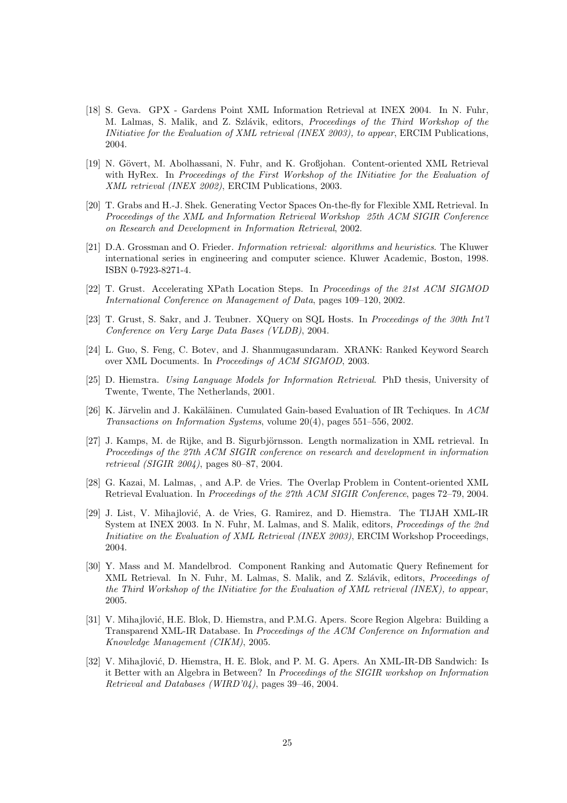- [18] S. Geva. GPX Gardens Point XML Information Retrieval at INEX 2004. In N. Fuhr, M. Lalmas, S. Malik, and Z. Szlávik, editors, *Proceedings of the Third Workshop of the* INitiative for the Evaluation of XML retrieval (INEX 2003), to appear, ERCIM Publications, 2004.
- [19] N. Gövert, M. Abolhassani, N. Fuhr, and K. Großjohan. Content-oriented XML Retrieval with HyRex. In Proceedings of the First Workshop of the INitiative for the Evaluation of XML retrieval (INEX 2002), ERCIM Publications, 2003.
- [20] T. Grabs and H.-J. Shek. Generating Vector Spaces On-the-fly for Flexible XML Retrieval. In Proceedings of the XML and Information Retrieval Workshop 25th ACM SIGIR Conference on Research and Development in Information Retrieval, 2002.
- [21] D.A. Grossman and O. Frieder. Information retrieval: algorithms and heuristics. The Kluwer international series in engineering and computer science. Kluwer Academic, Boston, 1998. ISBN 0-7923-8271-4.
- [22] T. Grust. Accelerating XPath Location Steps. In Proceedings of the 21st ACM SIGMOD International Conference on Management of Data, pages 109–120, 2002.
- [23] T. Grust, S. Sakr, and J. Teubner. XQuery on SQL Hosts. In Proceedings of the 30th Int'l Conference on Very Large Data Bases (VLDB), 2004.
- [24] L. Guo, S. Feng, C. Botev, and J. Shanmugasundaram. XRANK: Ranked Keyword Search over XML Documents. In Proceedings of ACM SIGMOD, 2003.
- [25] D. Hiemstra. Using Language Models for Information Retrieval. PhD thesis, University of Twente, Twente, The Netherlands, 2001.
- [26] K. Järvelin and J. Kakäläinen. Cumulated Gain-based Evaluation of IR Techiques. In  $ACM$ Transactions on Information Systems, volume 20(4), pages 551–556, 2002.
- [27] J. Kamps, M. de Rijke, and B. Sigurbjörnsson. Length normalization in XML retrieval. In Proceedings of the 27th ACM SIGIR conference on research and development in information retrieval (SIGIR 2004), pages 80–87, 2004.
- [28] G. Kazai, M. Lalmas, , and A.P. de Vries. The Overlap Problem in Content-oriented XML Retrieval Evaluation. In Proceedings of the 27th ACM SIGIR Conference, pages 72–79, 2004.
- [29] J. List, V. Mihajlović, A. de Vries, G. Ramirez, and D. Hiemstra. The TIJAH XML-IR System at INEX 2003. In N. Fuhr, M. Lalmas, and S. Malik, editors, Proceedings of the 2nd Initiative on the Evaluation of XML Retrieval (INEX 2003), ERCIM Workshop Proceedings, 2004.
- [30] Y. Mass and M. Mandelbrod. Component Ranking and Automatic Query Refinement for XML Retrieval. In N. Fuhr, M. Lalmas, S. Malik, and Z. Szlávik, editors, *Proceedings of* the Third Workshop of the INitiative for the Evaluation of XML retrieval (INEX), to appear, 2005.
- [31] V. Mihajlović, H.E. Blok, D. Hiemstra, and P.M.G. Apers. Score Region Algebra: Building a Transparend XML-IR Database. In Proceedings of the ACM Conference on Information and Knowledge Management (CIKM), 2005.
- [32] V. Mihajlović, D. Hiemstra, H. E. Blok, and P. M. G. Apers. An XML-IR-DB Sandwich: Is it Better with an Algebra in Between? In Proceedings of the SIGIR workshop on Information Retrieval and Databases (WIRD'04), pages 39–46, 2004.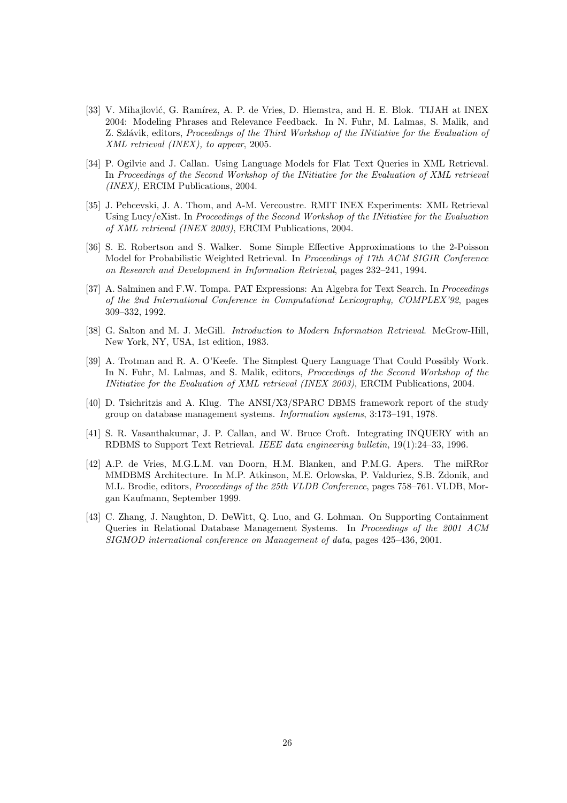- [33] V. Mihajlović, G. Ramírez, A. P. de Vries, D. Hiemstra, and H. E. Blok. TIJAH at INEX 2004: Modeling Phrases and Relevance Feedback. In N. Fuhr, M. Lalmas, S. Malik, and Z. Szlávik, editors, Proceedings of the Third Workshop of the INitiative for the Evaluation of XML retrieval (INEX), to appear, 2005.
- [34] P. Ogilvie and J. Callan. Using Language Models for Flat Text Queries in XML Retrieval. In Proceedings of the Second Workshop of the INitiative for the Evaluation of XML retrieval (INEX), ERCIM Publications, 2004.
- [35] J. Pehcevski, J. A. Thom, and A-M. Vercoustre. RMIT INEX Experiments: XML Retrieval Using Lucy/eXist. In Proceedings of the Second Workshop of the INitiative for the Evaluation of XML retrieval (INEX 2003), ERCIM Publications, 2004.
- [36] S. E. Robertson and S. Walker. Some Simple Effective Approximations to the 2-Poisson Model for Probabilistic Weighted Retrieval. In Proceedings of 17th ACM SIGIR Conference on Research and Development in Information Retrieval, pages 232–241, 1994.
- [37] A. Salminen and F.W. Tompa. PAT Expressions: An Algebra for Text Search. In *Proceedings* of the 2nd International Conference in Computational Lexicography, COMPLEX'92, pages 309–332, 1992.
- [38] G. Salton and M. J. McGill. *Introduction to Modern Information Retrieval.* McGrow-Hill, New York, NY, USA, 1st edition, 1983.
- [39] A. Trotman and R. A. O'Keefe. The Simplest Query Language That Could Possibly Work. In N. Fuhr, M. Lalmas, and S. Malik, editors, *Proceedings of the Second Workshop of the* INitiative for the Evaluation of XML retrieval (INEX 2003), ERCIM Publications, 2004.
- [40] D. Tsichritzis and A. Klug. The ANSI/X3/SPARC DBMS framework report of the study group on database management systems. Information systems, 3:173–191, 1978.
- [41] S. R. Vasanthakumar, J. P. Callan, and W. Bruce Croft. Integrating INQUERY with an RDBMS to Support Text Retrieval. IEEE data engineering bulletin, 19(1):24–33, 1996.
- [42] A.P. de Vries, M.G.L.M. van Doorn, H.M. Blanken, and P.M.G. Apers. The miRRor MMDBMS Architecture. In M.P. Atkinson, M.E. Orlowska, P. Valduriez, S.B. Zdonik, and M.L. Brodie, editors, Proceedings of the 25th VLDB Conference, pages 758–761. VLDB, Morgan Kaufmann, September 1999.
- [43] C. Zhang, J. Naughton, D. DeWitt, Q. Luo, and G. Lohman. On Supporting Containment Queries in Relational Database Management Systems. In Proceedings of the 2001 ACM SIGMOD international conference on Management of data, pages 425–436, 2001.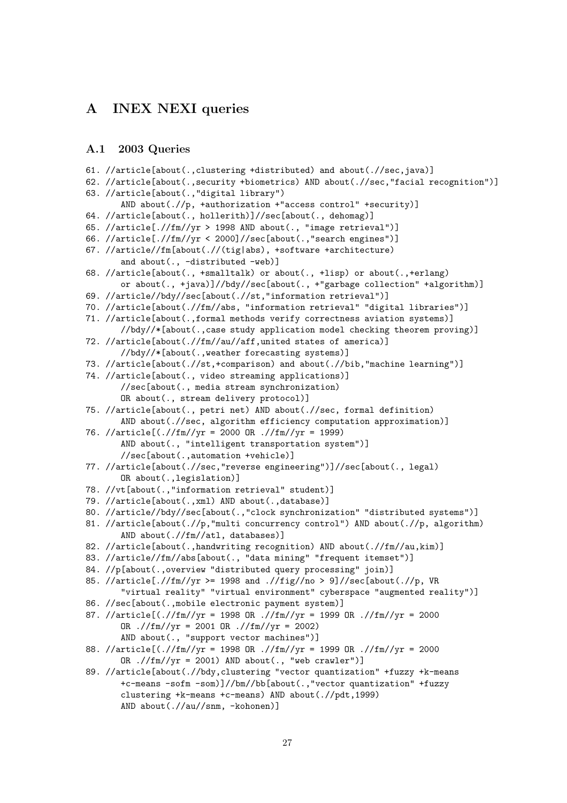### A INEX NEXI queries

#### A.1 2003 Queries

```
61. //article[about(.,clustering +distributed) and about(.//sec,java)]
62. //article[about(.,security +biometrics) AND about(.//sec,"facial recognition")]
63. //article[about(.,"digital library")
       AND about(.//p, +authorization +"access control" +security)]
64. //article[about(., hollerith)]//sec[about(., dehomag)]
65. //article[.//fm//yr > 1998 AND about(., "image retrieval")]
66. //article[.//fm//yr < 2000]//sec[about(.,"search engines")]
67. //article//fm[about(.//(tig|abs), +software +architecture)
       and about(., -distributed -web)]
68. //article[about(., +smalltalk) or about(., +lisp) or about(.,+erlang)
       or about(., +java)]//bdy//sec[about(., +"garbage collection" +algorithm)]
69. //article//bdy//sec[about(.//st,"information retrieval")]
70. //article[about(.//fm//abs, "information retrieval" "digital libraries")]
71. //article[about(.,formal methods verify correctness aviation systems)]
       //bdy//*[about(.,case study application model checking theorem proving)]
72. //article[about(.//fm//au//aff,united states of america)]
       //bdy//*[about(.,weather forecasting systems)]
73. //article[about(.//st,+comparison) and about(.//bib,"machine learning")]
74. //article[about(., video streaming applications)]
       //sec[about(., media stream synchronization)
       OR about(., stream delivery protocol)]
75. //article[about(., petri net) AND about(.//sec, formal definition)
       AND about(.//sec, algorithm efficiency computation approximation)]
76. //article[(.//fm//yr = 2000 OR .//fm//yr = 1999)
       AND about(., "intelligent transportation system")]
       //sec[about(.,automation +vehicle)]
77. //article[about(.//sec,"reverse engineering")]//sec[about(., legal)
       OR about(.,legislation)]
78. //vt[about(.,"information retrieval" student)]
79. //article[about(.,xml) AND about(.,database)]
80. //article//bdy//sec[about(.,"clock synchronization" "distributed systems")]
81. //article[about(.//p,"multi concurrency control") AND about(.//p, algorithm)
       AND about(.//fm//atl, databases)]
82. //article[about(.,handwriting recognition) AND about(.//fm//au,kim)]
83. //article//fm//abs[about(., "data mining" "frequent itemset")]
84. //p[about(.,overview "distributed query processing" join)]
85. //article[.//fm//yr >= 1998 and .//fig//no > 9]//sec[about(.//p, VR
       "virtual reality" "virtual environment" cyberspace "augmented reality")]
86. //sec[about(.,mobile electronic payment system)]
87. //article[(.//fm//yr = 1998 OR .//fm//yr = 1999 OR .//fm//yr = 2000
       OR .//fm//yr = 2001 OR .//fm//yr = 2002)AND about(., "support vector machines")]
88. //article[(.//fm//yr = 1998 OR .//fm//yr = 1999 OR .//fm//yr = 2000
      OR .//fm//yr = 2001) AND about(., "web crawler")]
89. //article[about(.//bdy,clustering "vector quantization" +fuzzy +k-means
       +c-means -sofm -som)]//bm//bb[about(.,"vector quantization" +fuzzy
       clustering +k-means +c-means) AND about(.//pdt,1999)
       AND about(.//au//snm, -kohonen)]
```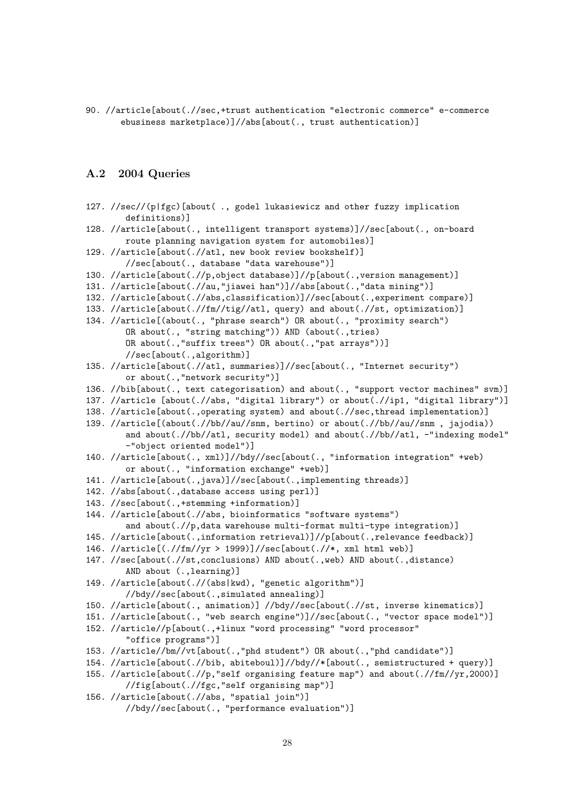90. //article[about(.//sec,+trust authentication "electronic commerce" e-commerce ebusiness marketplace)]//abs[about(., trust authentication)]

### A.2 2004 Queries

| 127. //sec//(p fgc)[about(., godel lukasiewicz and other fuzzy implication<br>definitions)]                                          |
|--------------------------------------------------------------------------------------------------------------------------------------|
| 128. //article[about(., intelligent transport systems)]//sec[about(., on-board<br>route planning navigation system for automobiles)] |
| 129. //article[about(.//atl, new book review bookshelf)]<br>//sec[about(., database "data warehouse")]                               |
| 130. //article[about(.//p,object database)]//p[about(., version management)]                                                         |
| 131. //article[about(.//au,"jiawei han")]//abs[about(.,"data mining")]                                                               |
| 132. //article[about(.//abs,classification)]//sec[about(.,experiment compare)]                                                       |
| 133. //article[about(.//fm//tig//atl, query) and about(.//st, optimization)]                                                         |
| 134. //article[(about(., "phrase search") OR about(., "proximity search")                                                            |
| OR about(., "string matching")) AND (about(.,tries)                                                                                  |
| OR about(., "suffix trees") OR about(., "pat arrays"))]                                                                              |
| //sec[about(.,algorithm)]                                                                                                            |
| 135. //article[about(.//atl, summaries)]//sec[about(., "Internet security")                                                          |
| or about(., "network security")]                                                                                                     |
| 136. //bib[about(., text categorisation) and about(., "support vector machines" svm)]                                                |
| 137. //article [about(.//abs, "digital library") or about(.//ip1, "digital library")]                                                |
| 138. //article[about(.,operating system) and about(.//sec,thread implementation)]                                                    |
| 139. //article[(about(.//bb//au//snm, bertino) or about(.//bb//au//snm, jajodia))                                                    |
| and about(.//bb//atl, security model) and about(.//bb//atl, -"indexing model"<br>-"object oriented model")]                          |
| 140. //article[about(., xml)]//bdy//sec[about(., "information integration" +web)                                                     |
| or about(., "information exchange" +web)]                                                                                            |
| 141. //article[about(.,java)]//sec[about(.,implementing threads)]                                                                    |
| 142. //abs[about(.,database access using perl)]                                                                                      |
| 143. //sec[about(.,+stemming +information)]                                                                                          |
| 144. //article[about(.//abs, bioinformatics "software systems")                                                                      |
| and about(.//p, data warehouse multi-format multi-type integration)]                                                                 |
| 145. //article[about(.,information retrieval)]//p[about(.,relevance feedback)]                                                       |
| 146. //article[(.//fm//yr > 1999)]//sec[about(.//*, xml html web)]                                                                   |
| 147. //sec[about(.//st,conclusions) AND about(.,web) AND about(.,distance)<br>AND about (., learning)]                               |
| 149. //article[about(.//(abs kwd), "genetic algorithm")]<br>//bdy//sec[about(.,simulated annealing)]                                 |
| 150. //article[about(., animation)] //bdy//sec[about(.//st, inverse kinematics)]                                                     |
| 151. //article[about(., "web search engine")]//sec[about(., "vector space model")]                                                   |
| 152. //article//p[about(.,+linux "word processing" "word processor"                                                                  |
| "office programs")]                                                                                                                  |
| 153. //article//bm//vt[about(.,"phd student") OR about(.,"phd candidate")]                                                           |
| 154. //article[about(.//bib, abiteboul)]//bdy//*[about(., semistructured + query)]                                                   |
| 155. //article[about(.//p,"self organising feature map") and about(.//fm//yr,2000)]                                                  |
| //fig[about(.//fgc,"self organising map")]                                                                                           |

156. //article[about(.//abs, "spatial join")] //bdy//sec[about(., "performance evaluation")]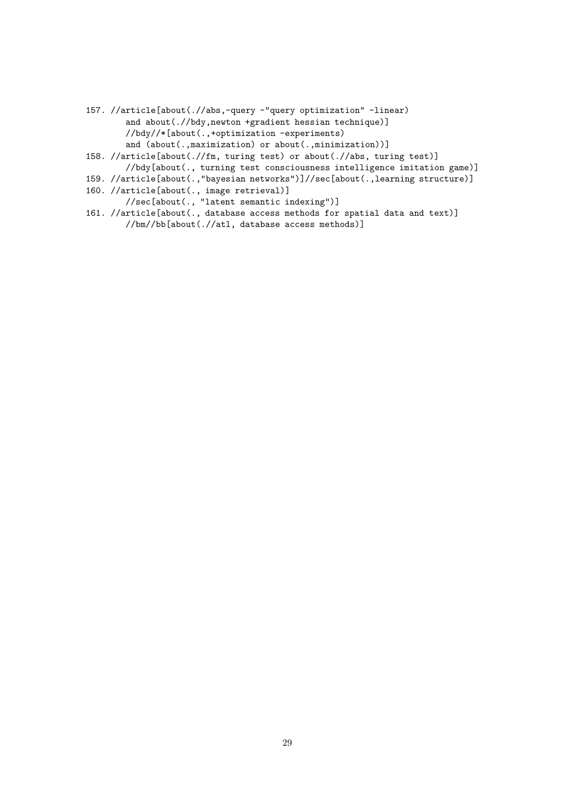- 157. //article[about(.//abs,-query -"query optimization" -linear) and about(.//bdy,newton +gradient hessian technique)] //bdy//\*[about(.,+optimization -experiments) and (about(.,maximization) or about(.,minimization))]
- 158. //article[about(.//fm, turing test) or about(.//abs, turing test)] //bdy[about(., turning test consciousness intelligence imitation game)]
- 159. //article[about(.,"bayesian networks")]//sec[about(.,learning structure)]
- 160. //article[about(., image retrieval)]
	- //sec[about(., "latent semantic indexing")]
- 161. //article[about(., database access methods for spatial data and text)] //bm//bb[about(.//atl, database access methods)]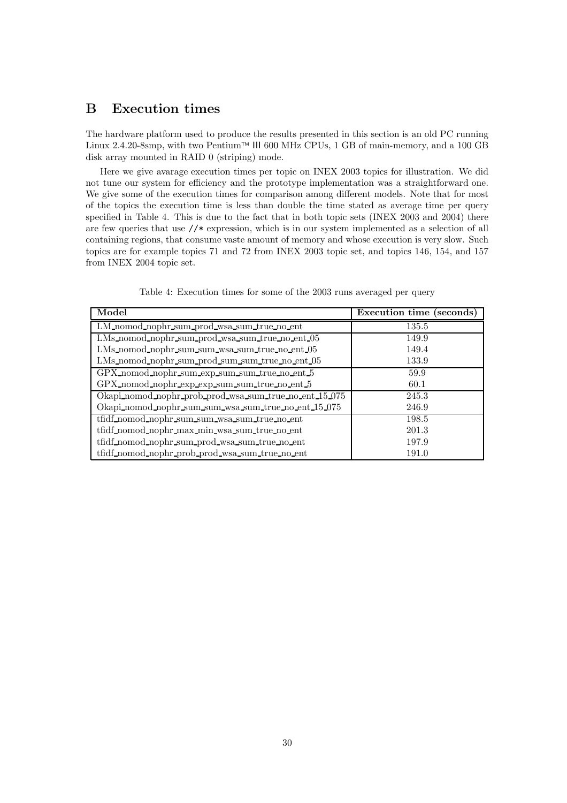### B Execution times

The hardware platform used to produce the results presented in this section is an old PC running Linux 2.4.20-8smp, with two Pentium<sup>™</sup> III 600 MHz CPUs, 1 GB of main-memory, and a 100 GB disk array mounted in RAID 0 (striping) mode.

Here we give avarage execution times per topic on INEX 2003 topics for illustration. We did not tune our system for efficiency and the prototype implementation was a straightforward one. We give some of the execution times for comparison among different models. Note that for most of the topics the execution time is less than double the time stated as average time per query specified in Table 4. This is due to the fact that in both topic sets (INEX 2003 and 2004) there are few queries that use //\* expression, which is in our system implemented as a selection of all containing regions, that consume vaste amount of memory and whose execution is very slow. Such topics are for example topics 71 and 72 from INEX 2003 topic set, and topics 146, 154, and 157 from INEX 2004 topic set.

| Model                                                  | Execution time (seconds) |
|--------------------------------------------------------|--------------------------|
| LM_nomod_nophr_sum_prod_wsa_sum_true_no_ent            | 135.5                    |
| LMs_nomod_nophr_sum_prod_wsa_sum_true_no_ent_05        | 149.9                    |
| LMs_nomod_nophr_sum_sum_wsa_sum_true_no_ent_05         | 149.4                    |
| LMs_nomod_nophr_sum_prod_sum_sum_true_no_ent_05        | 133.9                    |
| GPX_nomod_nophr_sum_exp_sum_sum_true_no_ent_5          | 59.9                     |
| GPX_nomod_nophr_exp_exp_sum_sum_true_no_ent_5          | 60.1                     |
| Okapi nomod nophr prob prod wsa sum true no ent 15.075 | 245.3                    |
| Okapi_nomod_nophr_sum_sum_wsa_sum_true_no_ent_15_075   | 246.9                    |
| tfidf_nomod_nophr_sum_sum_wsa_sum_true_no_ent          | 198.5                    |
| tfidf_nomod_nophr_max_min_wsa_sum_true_no_ent          | 201.3                    |
| tfidf_nomod_nophr_sum_prod_wsa_sum_true_no_ent         | 197.9                    |
| tfidf_nomod_nophr_prob_prod_wsa_sum_true_no_ent        | 191.0                    |

Table 4: Execution times for some of the 2003 runs averaged per query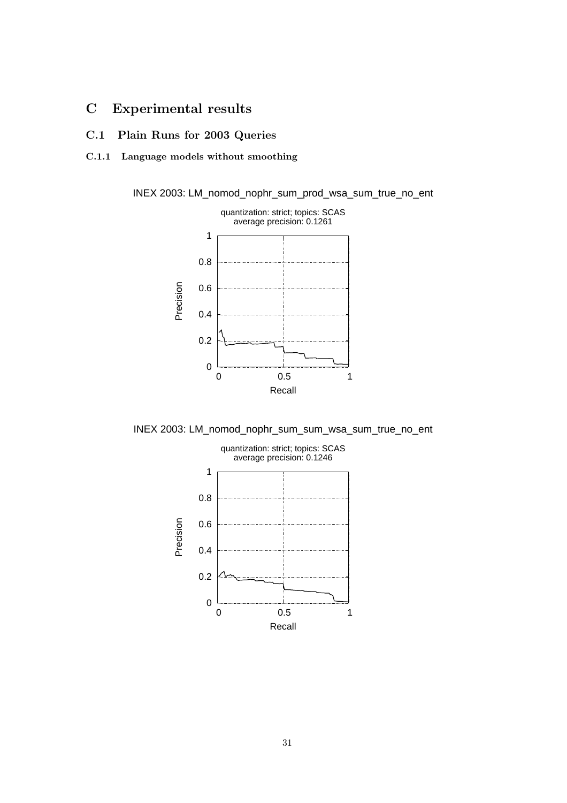### C Experimental results

C.1 Plain Runs for 2003 Queries

### C.1.1 Language models without smoothing

INEX 2003: LM\_nomod\_nophr\_sum\_prod\_wsa\_sum\_true\_no\_ent



INEX 2003: LM\_nomod\_nophr\_sum\_sum\_wsa\_sum\_true\_no\_ent

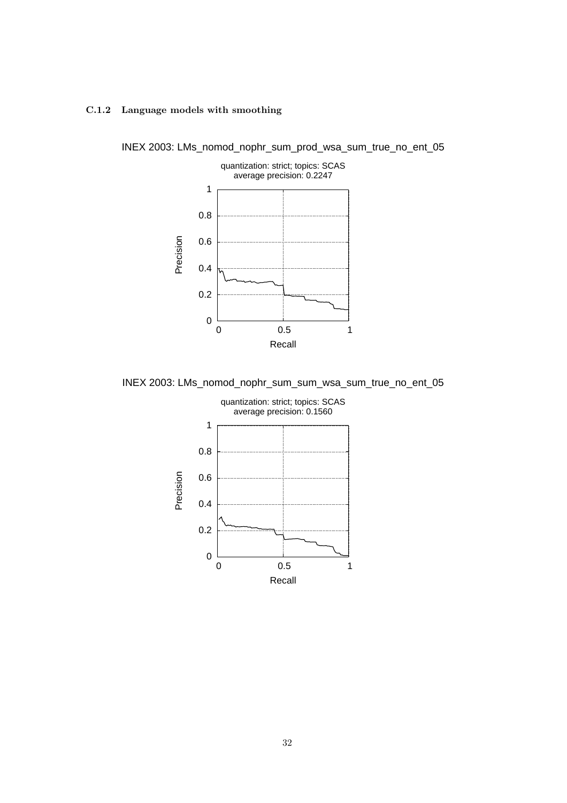### C.1.2 Language models with smoothing



INEX 2003: LMs\_nomod\_nophr\_sum\_prod\_wsa\_sum\_true\_no\_ent\_05

INEX 2003: LMs\_nomod\_nophr\_sum\_sum\_wsa\_sum\_true\_no\_ent\_05

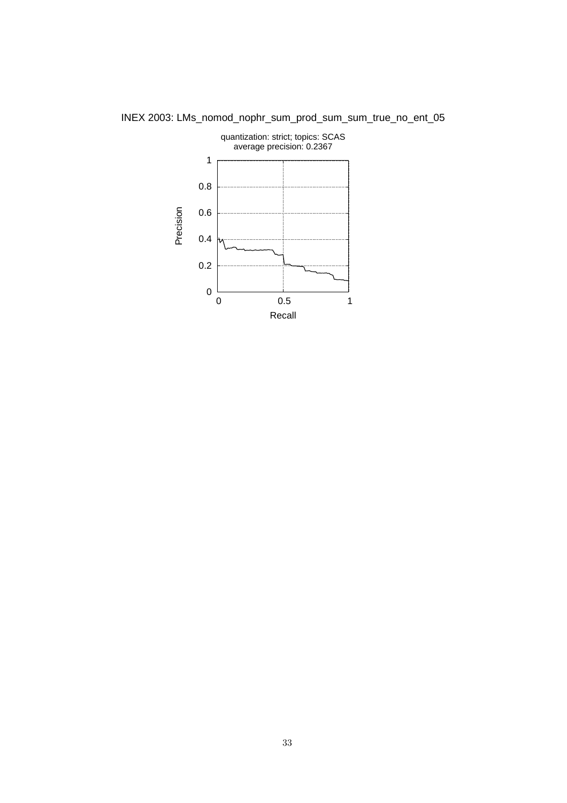

INEX 2003: LMs\_nomod\_nophr\_sum\_prod\_sum\_sum\_true\_no\_ent\_05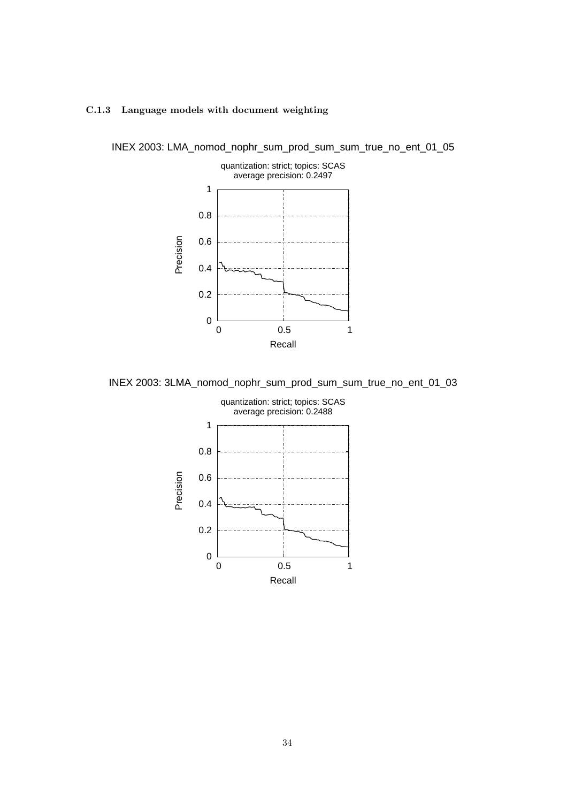



INEX 2003: LMA\_nomod\_nophr\_sum\_prod\_sum\_sum\_true\_no\_ent\_01\_05

INEX 2003: 3LMA\_nomod\_nophr\_sum\_prod\_sum\_sum\_true\_no\_ent\_01\_03

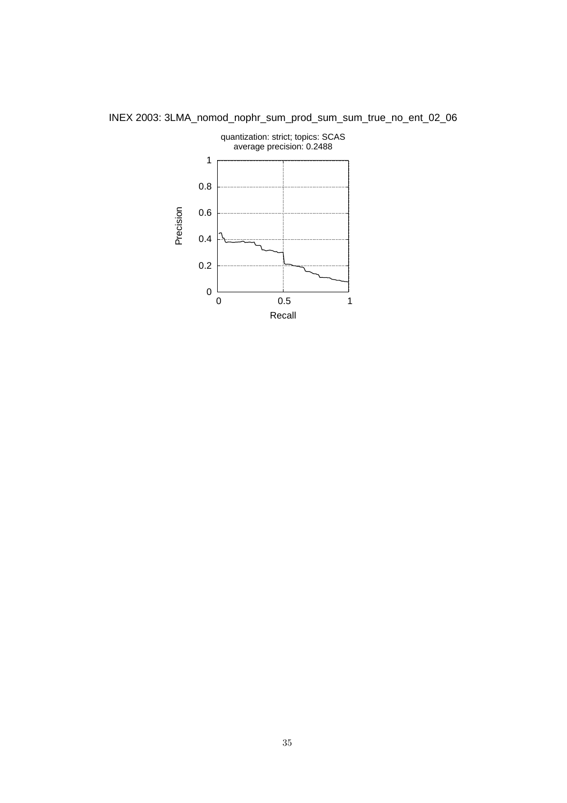

INEX 2003: 3LMA\_nomod\_nophr\_sum\_prod\_sum\_sum\_true\_no\_ent\_02\_06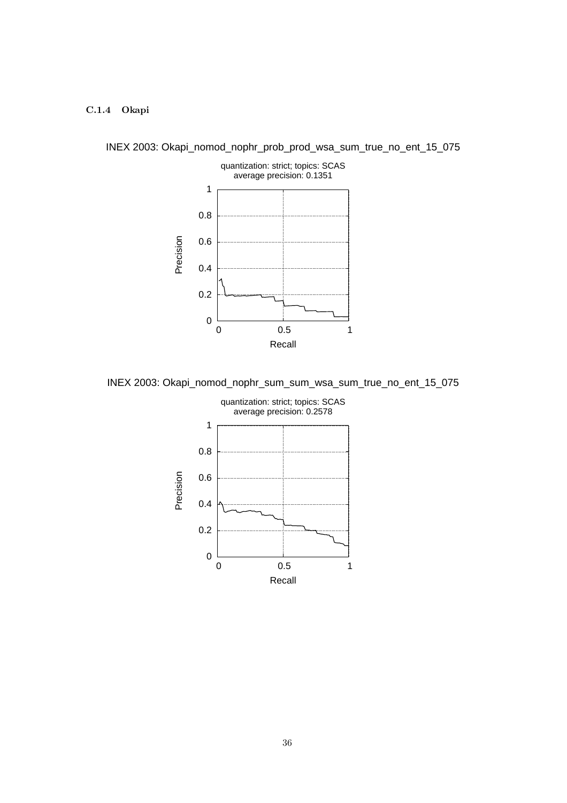### C.1.4 Okapi



INEX 2003: Okapi\_nomod\_nophr\_prob\_prod\_wsa\_sum\_true\_no\_ent\_15\_075

INEX 2003: Okapi\_nomod\_nophr\_sum\_sum\_wsa\_sum\_true\_no\_ent\_15\_075

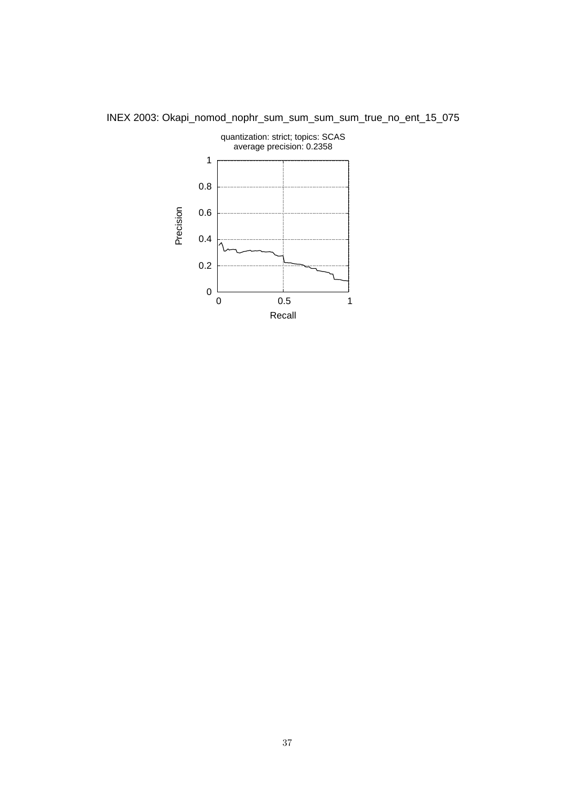

INEX 2003: Okapi\_nomod\_nophr\_sum\_sum\_sum\_sum\_true\_no\_ent\_15\_075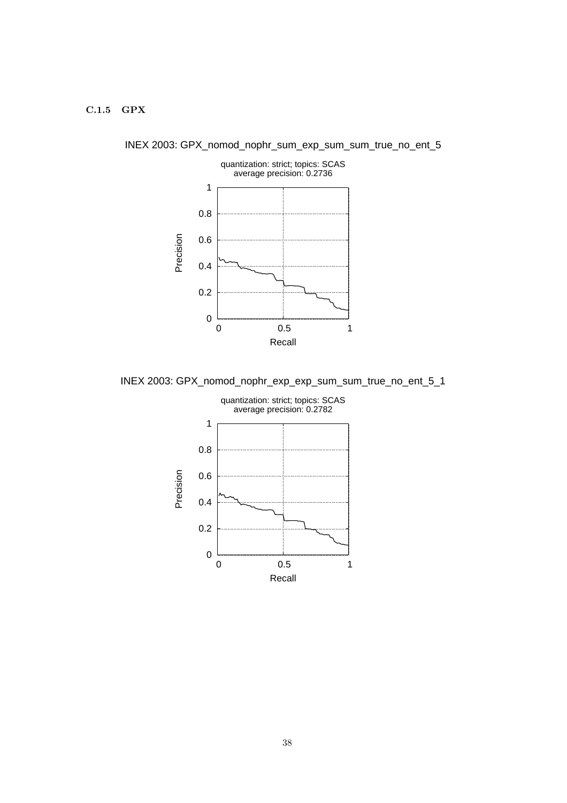### C.1.5 GPX



INEX 2003: GPX\_nomod\_nophr\_sum\_exp\_sum\_sum\_true\_no\_ent\_5

INEX 2003: GPX\_nomod\_nophr\_exp\_exp\_sum\_sum\_true\_no\_ent\_5\_1

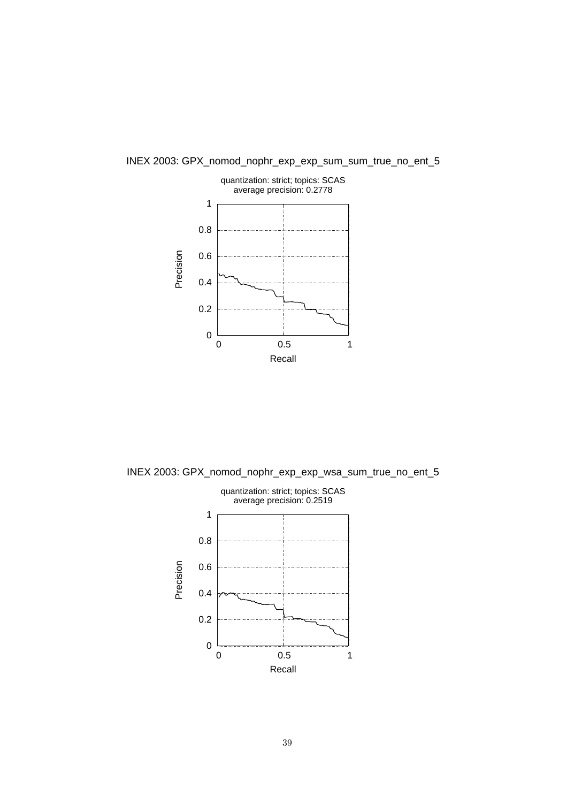

INEX 2003: GPX\_nomod\_nophr\_exp\_exp\_sum\_sum\_true\_no\_ent\_5

INEX 2003: GPX\_nomod\_nophr\_exp\_exp\_wsa\_sum\_true\_no\_ent\_5

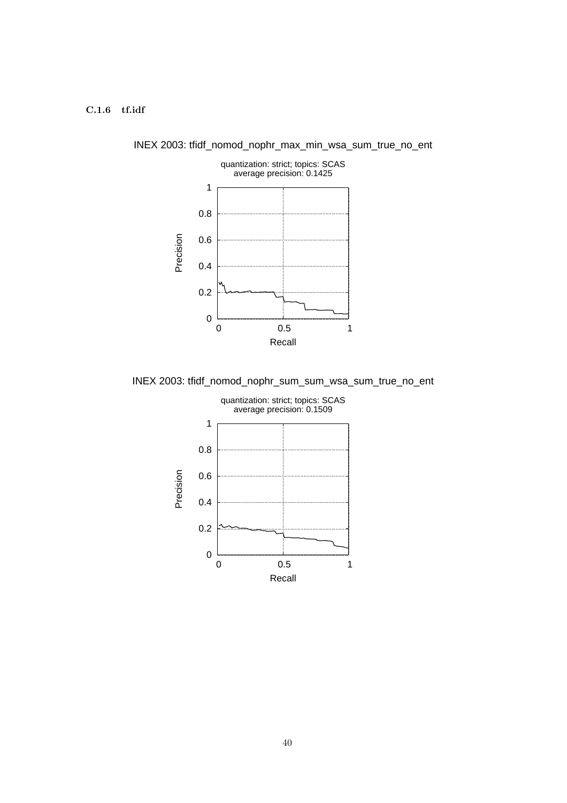### C.1.6 tf.idf



INEX 2003: tfidf\_nomod\_nophr\_max\_min\_wsa\_sum\_true\_no\_ent

INEX 2003: tfidf\_nomod\_nophr\_sum\_sum\_wsa\_sum\_true\_no\_ent

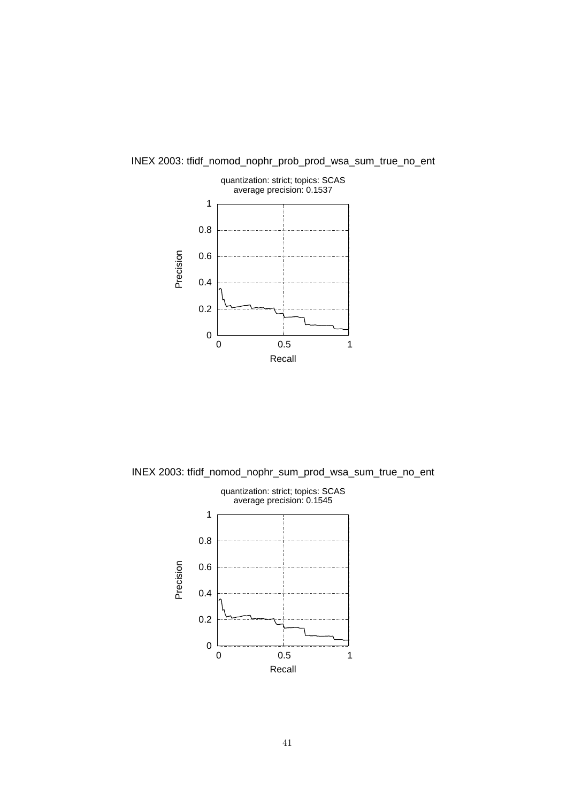

INEX 2003: tfidf\_nomod\_nophr\_prob\_prod\_wsa\_sum\_true\_no\_ent

INEX 2003: tfidf\_nomod\_nophr\_sum\_prod\_wsa\_sum\_true\_no\_ent

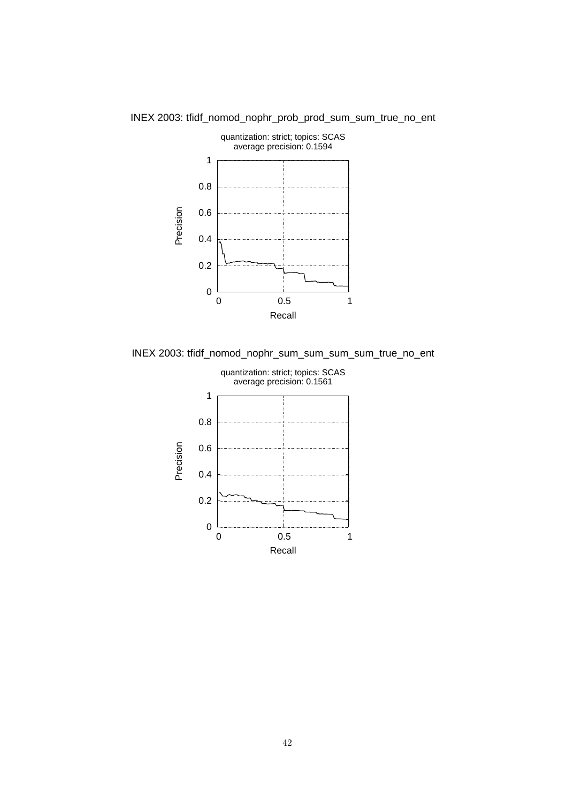

INEX 2003: tfidf\_nomod\_nophr\_prob\_prod\_sum\_sum\_true\_no\_ent

INEX 2003: tfidf\_nomod\_nophr\_sum\_sum\_sum\_sum\_true\_no\_ent

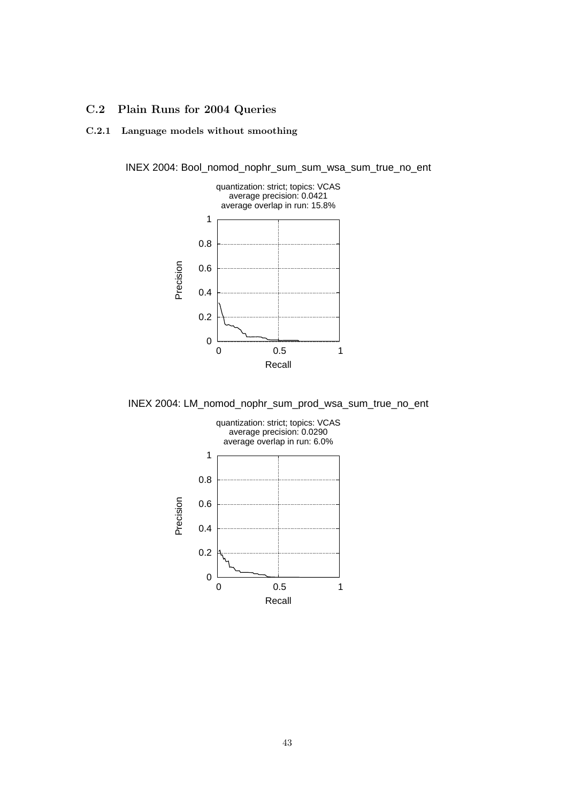### C.2 Plain Runs for 2004 Queries

### C.2.1 Language models without smoothing



INEX 2004: Bool\_nomod\_nophr\_sum\_sum\_wsa\_sum\_true\_no\_ent

INEX 2004: LM\_nomod\_nophr\_sum\_prod\_wsa\_sum\_true\_no\_ent

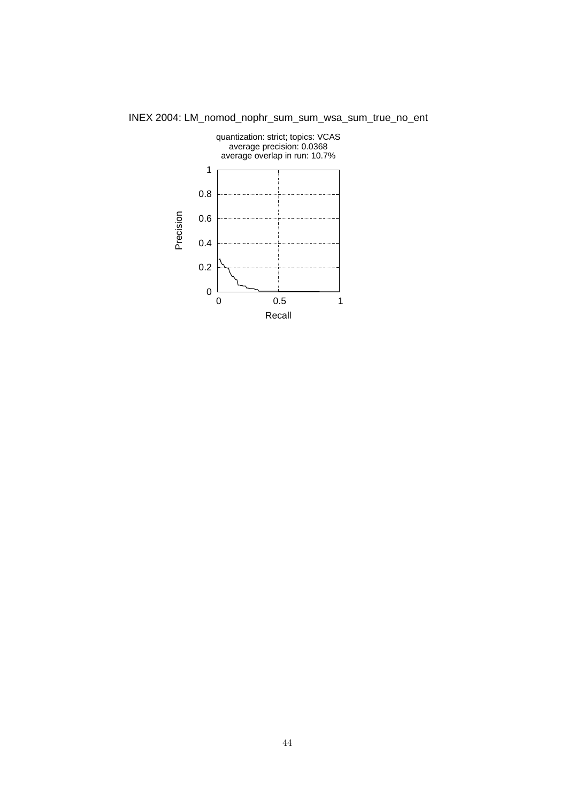

INEX 2004: LM\_nomod\_nophr\_sum\_sum\_wsa\_sum\_true\_no\_ent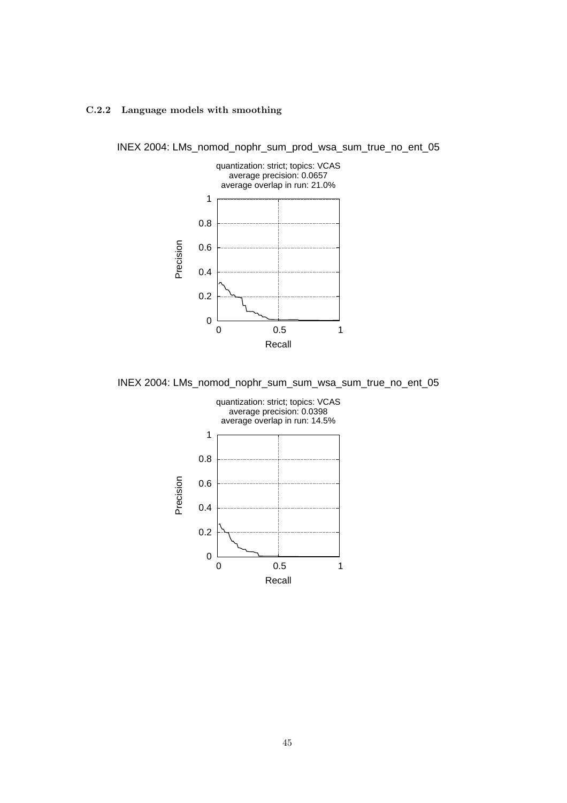### C.2.2 Language models with smoothing



INEX 2004: LMs\_nomod\_nophr\_sum\_prod\_wsa\_sum\_true\_no\_ent\_05

INEX 2004: LMs\_nomod\_nophr\_sum\_sum\_wsa\_sum\_true\_no\_ent\_05

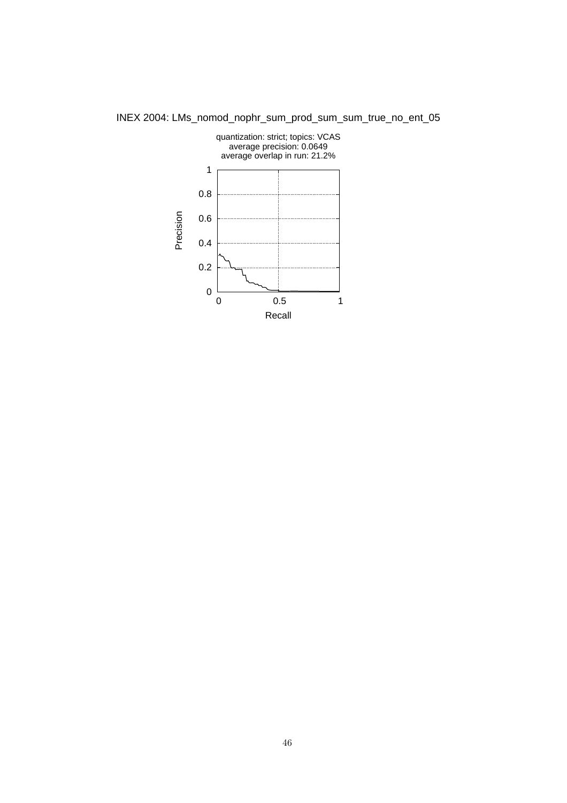

INEX 2004: LMs\_nomod\_nophr\_sum\_prod\_sum\_sum\_true\_no\_ent\_05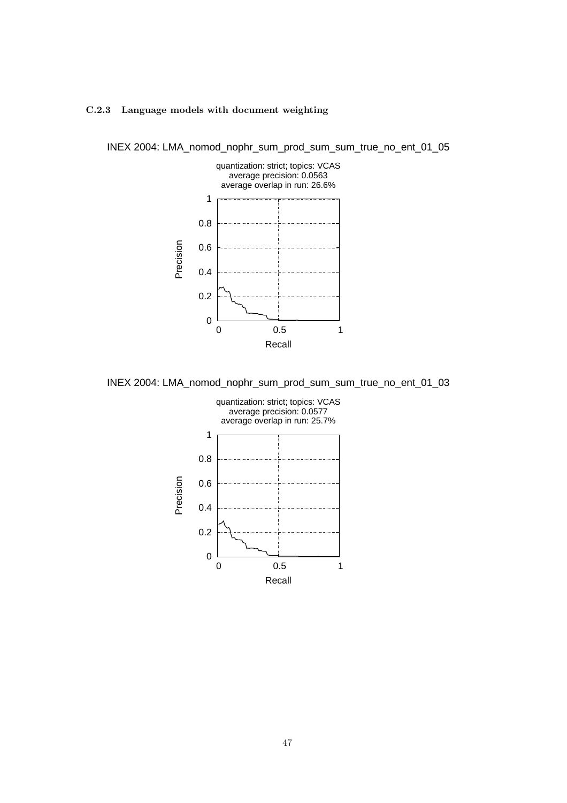### C.2.3 Language models with document weighting



INEX 2004: LMA\_nomod\_nophr\_sum\_prod\_sum\_sum\_true\_no\_ent\_01\_05

INEX 2004: LMA\_nomod\_nophr\_sum\_prod\_sum\_sum\_true\_no\_ent\_01\_03

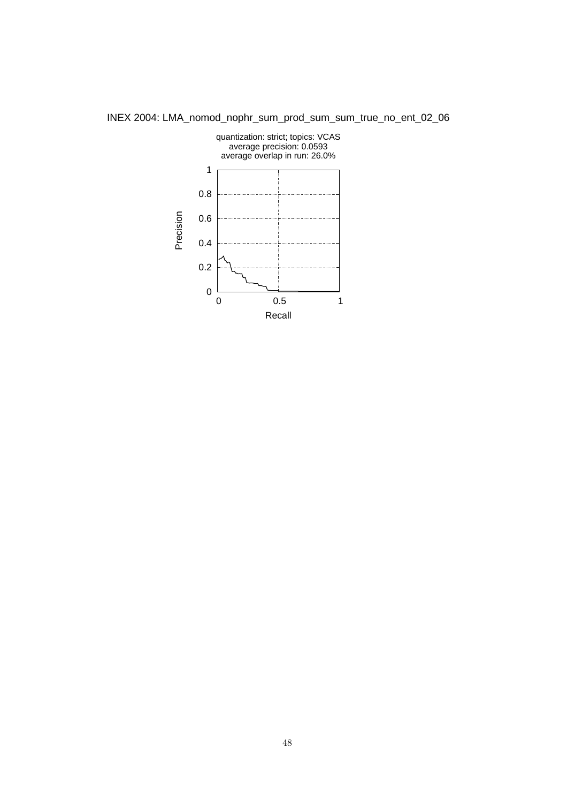

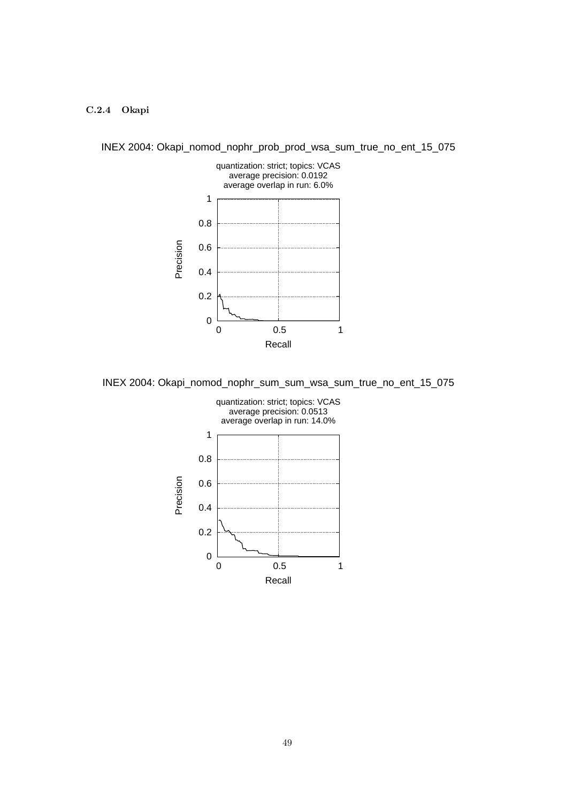### C.2.4 Okapi



INEX 2004: Okapi\_nomod\_nophr\_prob\_prod\_wsa\_sum\_true\_no\_ent\_15\_075

INEX 2004: Okapi\_nomod\_nophr\_sum\_sum\_wsa\_sum\_true\_no\_ent\_15\_075

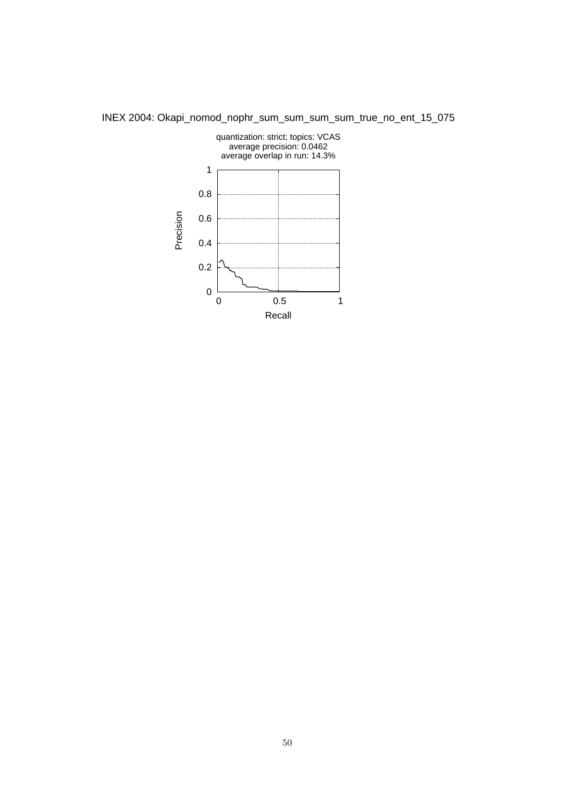

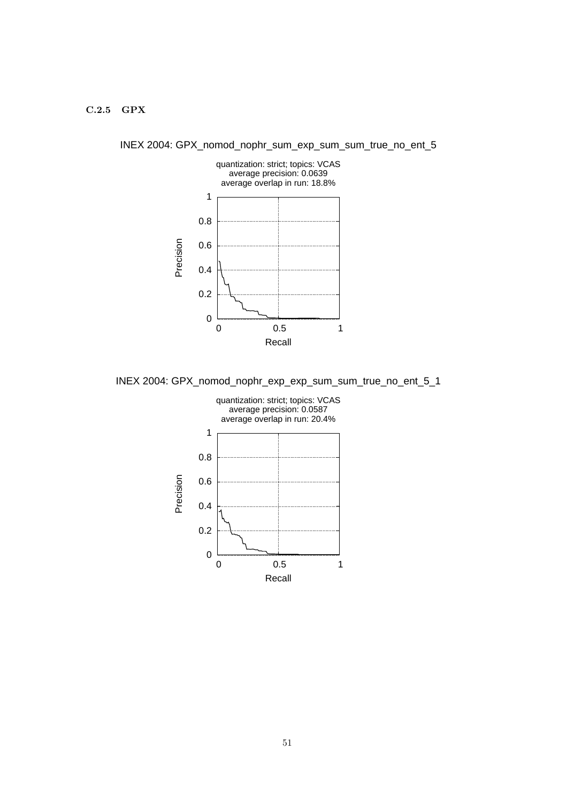### C.2.5 GPX



INEX 2004: GPX\_nomod\_nophr\_sum\_exp\_sum\_sum\_true\_no\_ent\_5

INEX 2004: GPX\_nomod\_nophr\_exp\_exp\_sum\_sum\_true\_no\_ent\_5\_1

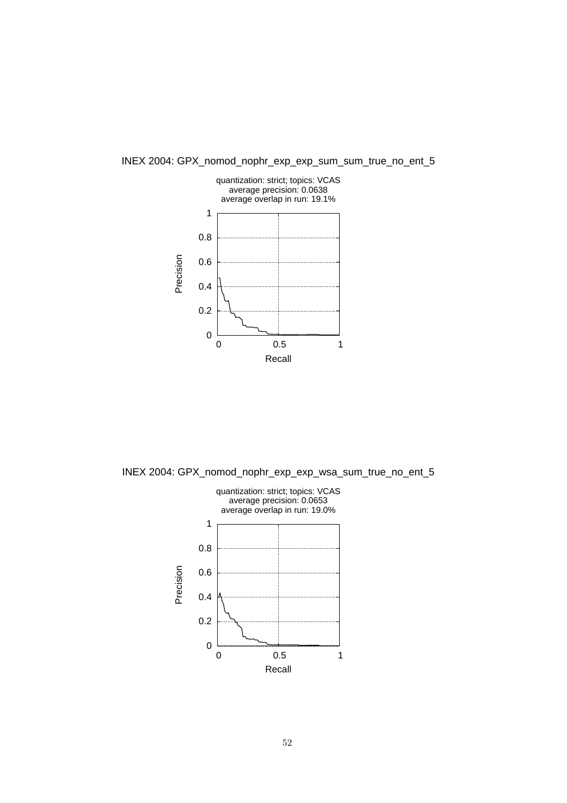

INEX 2004: GPX\_nomod\_nophr\_exp\_exp\_sum\_sum\_true\_no\_ent\_5

INEX 2004: GPX\_nomod\_nophr\_exp\_exp\_wsa\_sum\_true\_no\_ent\_5

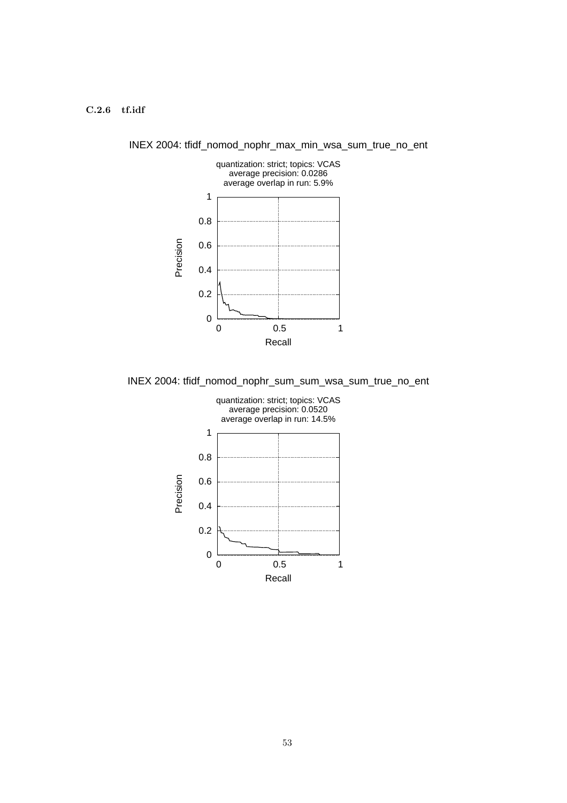### C.2.6 tf.idf



INEX 2004: tfidf\_nomod\_nophr\_max\_min\_wsa\_sum\_true\_no\_ent

INEX 2004: tfidf\_nomod\_nophr\_sum\_sum\_wsa\_sum\_true\_no\_ent

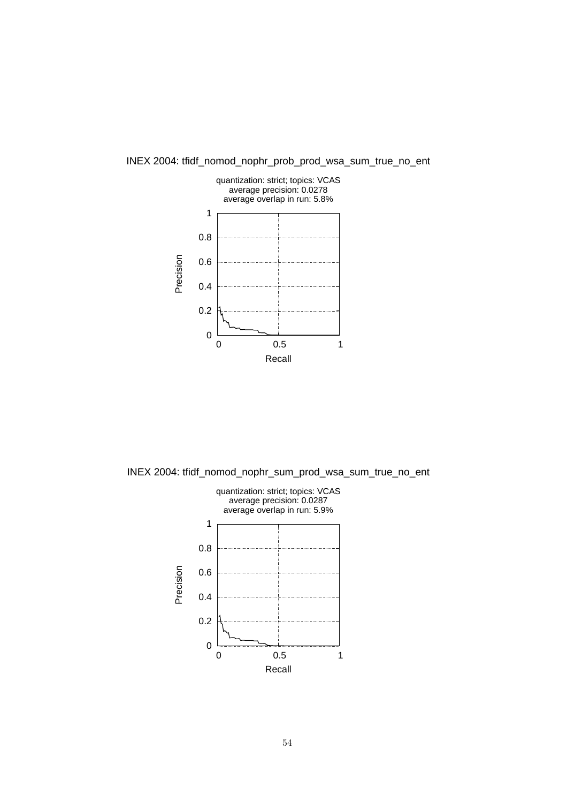

INEX 2004: tfidf\_nomod\_nophr\_prob\_prod\_wsa\_sum\_true\_no\_ent

INEX 2004: tfidf\_nomod\_nophr\_sum\_prod\_wsa\_sum\_true\_no\_ent

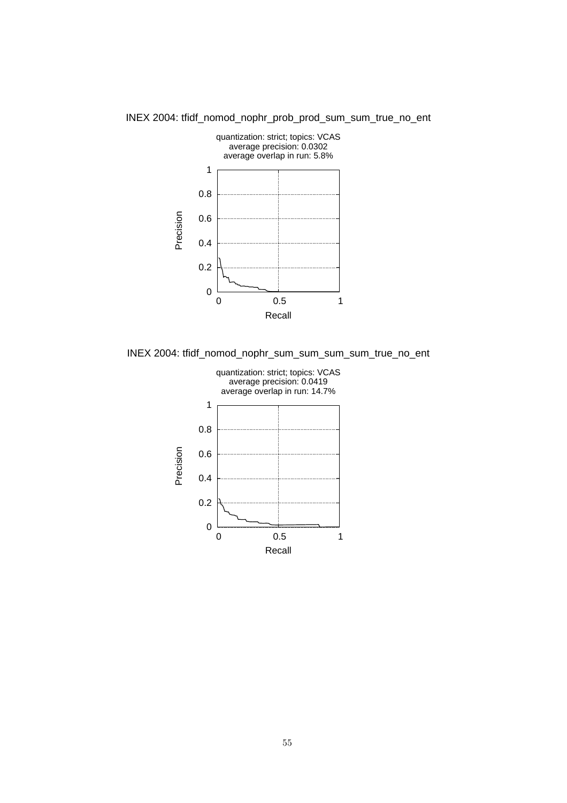

INEX 2004: tfidf\_nomod\_nophr\_prob\_prod\_sum\_sum\_true\_no\_ent

INEX 2004: tfidf\_nomod\_nophr\_sum\_sum\_sum\_sum\_true\_no\_ent

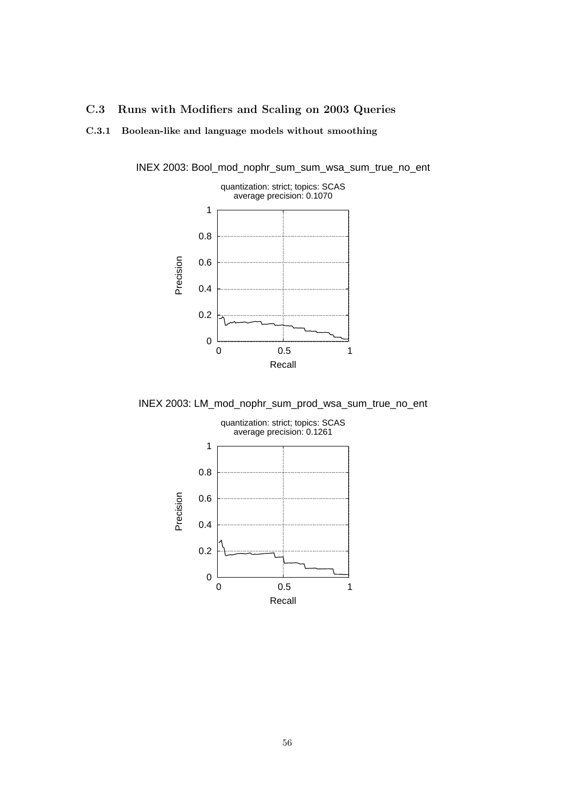### C.3 Runs with Modifiers and Scaling on 2003 Queries

### C.3.1 Boolean-like and language models without smoothing



INEX 2003: Bool\_mod\_nophr\_sum\_sum\_wsa\_sum\_true\_no\_ent

INEX 2003: LM\_mod\_nophr\_sum\_prod\_wsa\_sum\_true\_no\_ent

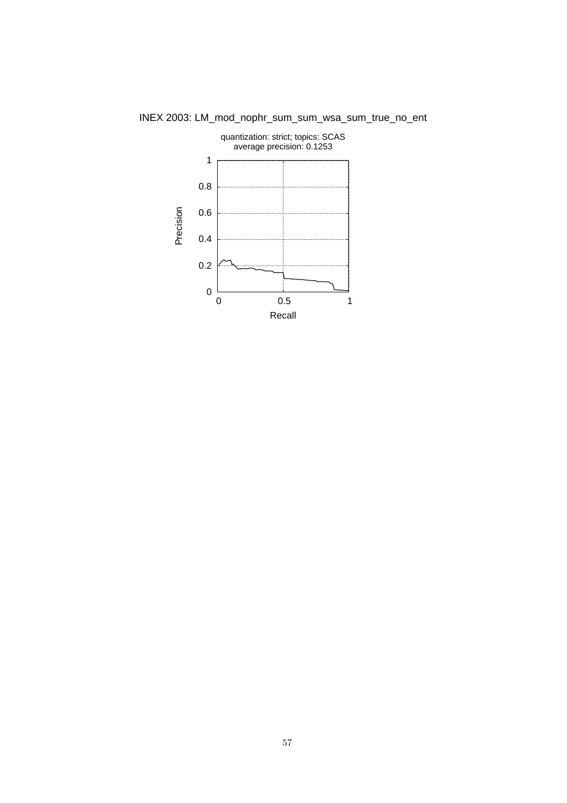

INEX 2003: LM\_mod\_nophr\_sum\_sum\_wsa\_sum\_true\_no\_ent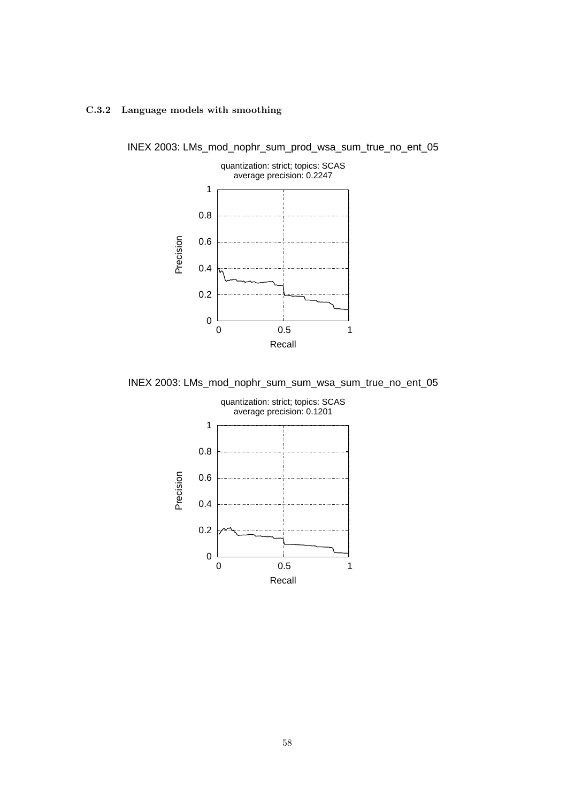### C.3.2 Language models with smoothing



INEX 2003: LMs\_mod\_nophr\_sum\_prod\_wsa\_sum\_true\_no\_ent\_05

INEX 2003: LMs\_mod\_nophr\_sum\_sum\_wsa\_sum\_true\_no\_ent\_05

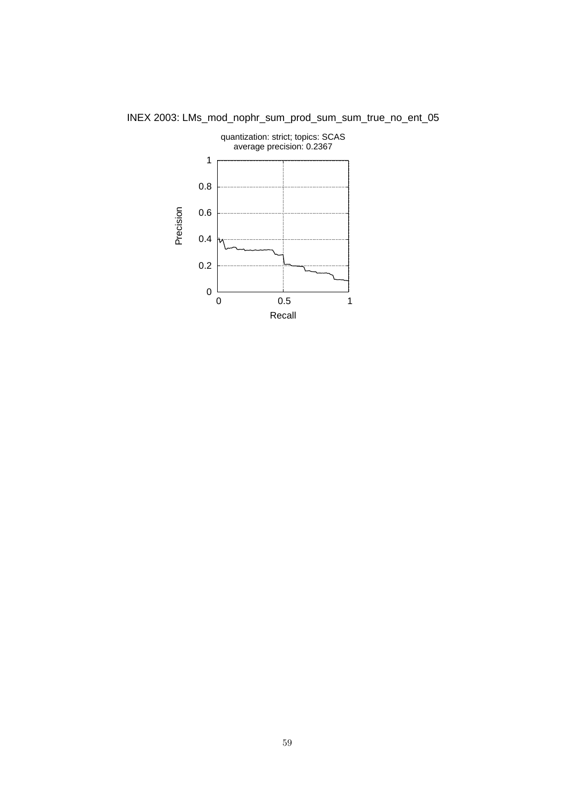

INEX 2003: LMs\_mod\_nophr\_sum\_prod\_sum\_sum\_true\_no\_ent\_05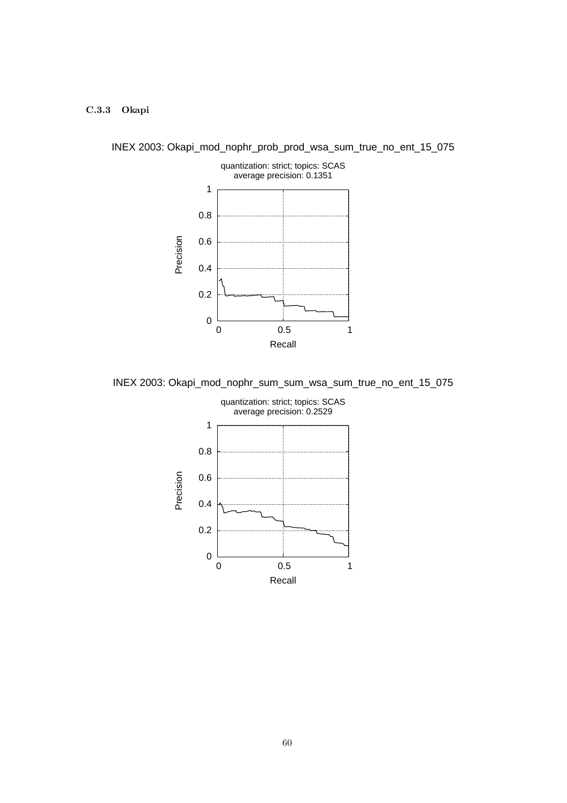### C.3.3 Okapi



INEX 2003: Okapi\_mod\_nophr\_prob\_prod\_wsa\_sum\_true\_no\_ent\_15\_075

INEX 2003: Okapi\_mod\_nophr\_sum\_sum\_wsa\_sum\_true\_no\_ent\_15\_075

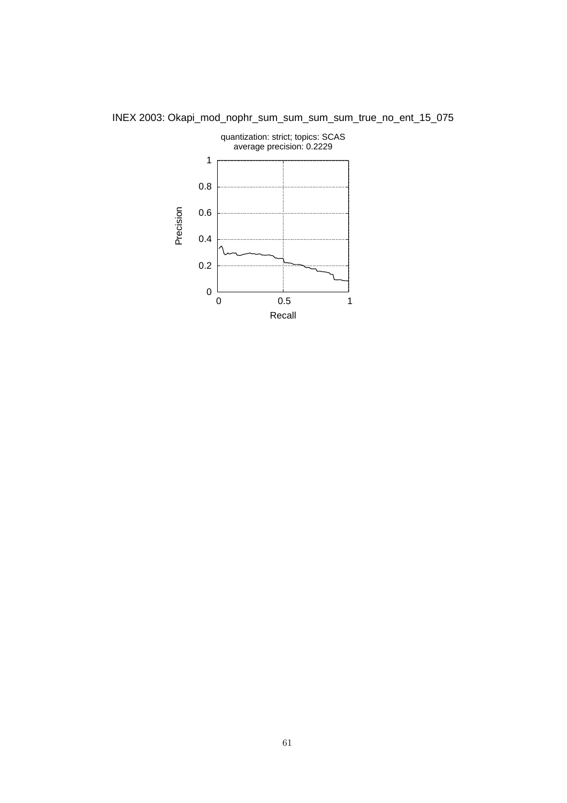

INEX 2003: Okapi\_mod\_nophr\_sum\_sum\_sum\_sum\_true\_no\_ent\_15\_075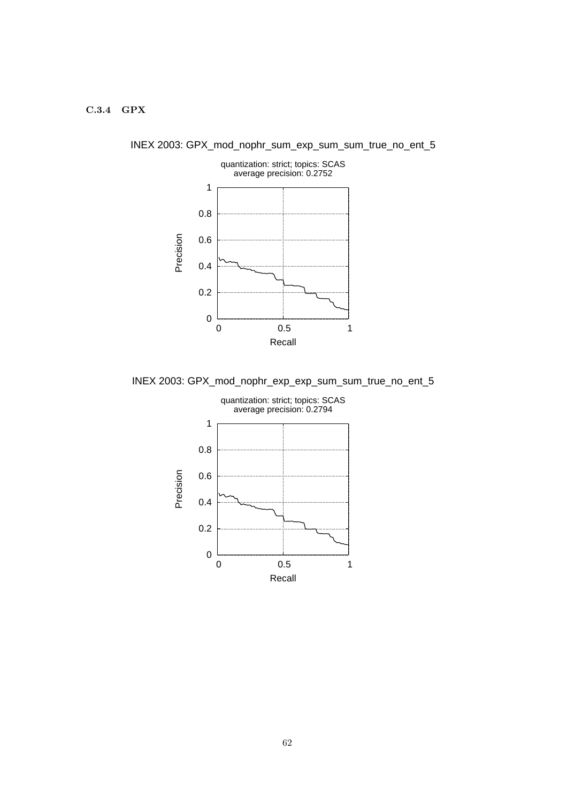### C.3.4 GPX



INEX 2003: GPX\_mod\_nophr\_sum\_exp\_sum\_sum\_true\_no\_ent\_5

INEX 2003: GPX\_mod\_nophr\_exp\_exp\_sum\_sum\_true\_no\_ent\_5

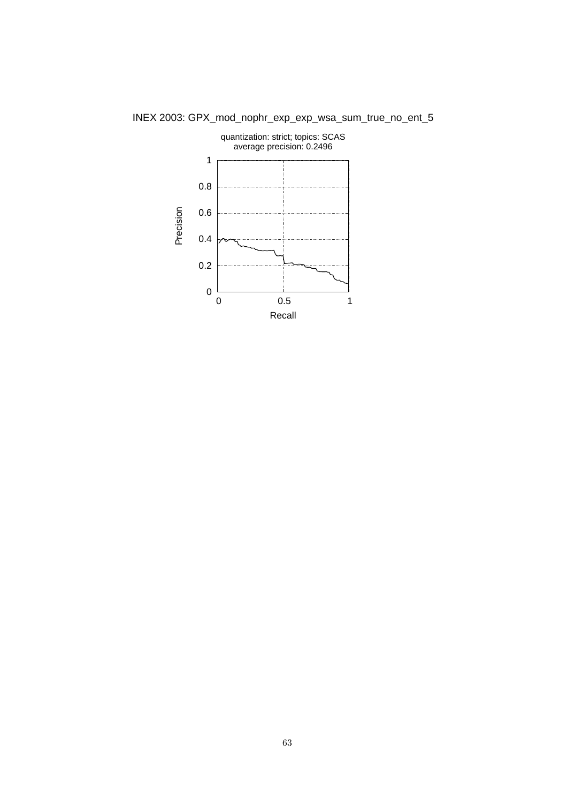

INEX 2003: GPX\_mod\_nophr\_exp\_exp\_wsa\_sum\_true\_no\_ent\_5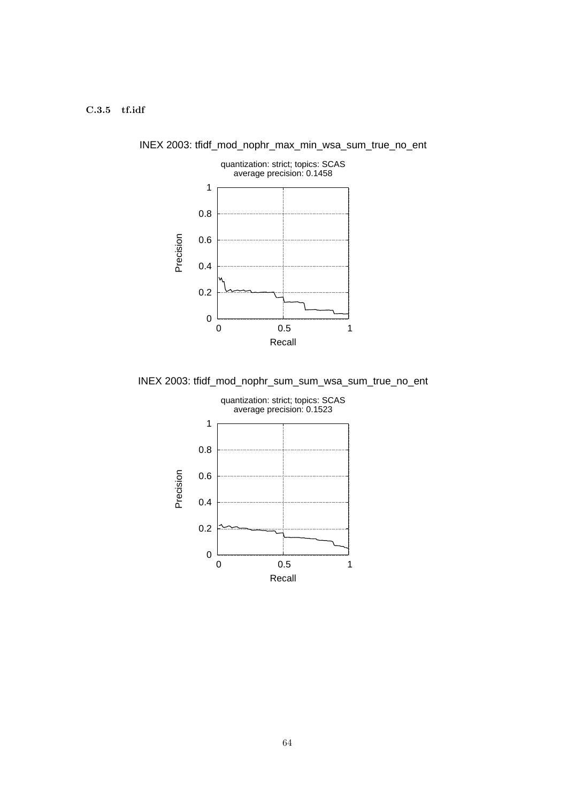### C.3.5 tf.idf



INEX 2003: tfidf\_mod\_nophr\_max\_min\_wsa\_sum\_true\_no\_ent

INEX 2003: tfidf\_mod\_nophr\_sum\_sum\_wsa\_sum\_true\_no\_ent

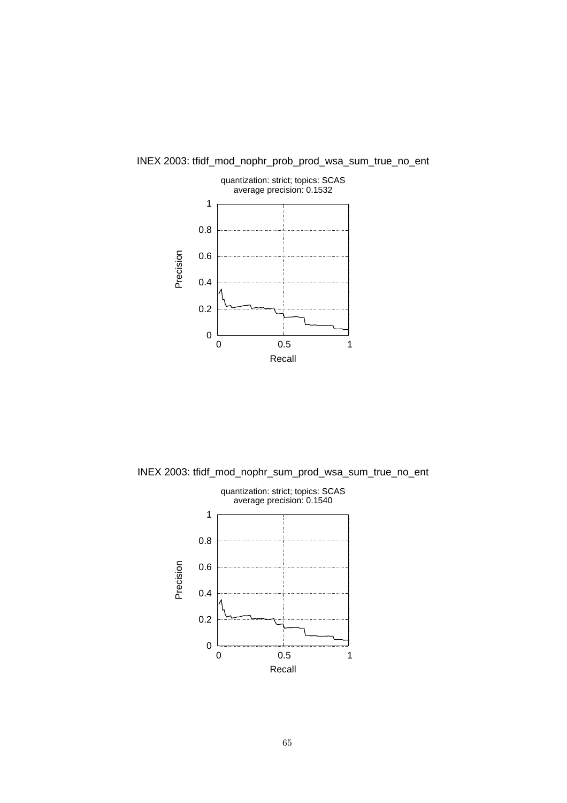

INEX 2003: tfidf\_mod\_nophr\_prob\_prod\_wsa\_sum\_true\_no\_ent

INEX 2003: tfidf\_mod\_nophr\_sum\_prod\_wsa\_sum\_true\_no\_ent